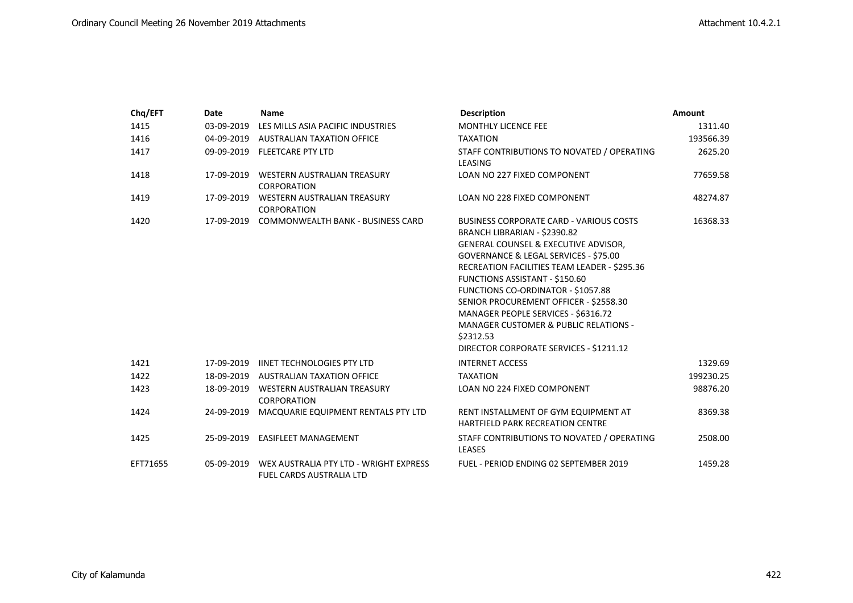| Chq/EFT  | Date       | <b>Name</b>                                                        | <b>Description</b>                                                              | <b>Amount</b> |
|----------|------------|--------------------------------------------------------------------|---------------------------------------------------------------------------------|---------------|
| 1415     | 03-09-2019 | LES MILLS ASIA PACIFIC INDUSTRIES                                  | MONTHLY LICENCE FEE                                                             | 1311.40       |
| 1416     |            | 04-09-2019 AUSTRALIAN TAXATION OFFICE                              | <b>TAXATION</b>                                                                 | 193566.39     |
| 1417     |            | 09-09-2019 FLEETCARE PTY LTD                                       | STAFF CONTRIBUTIONS TO NOVATED / OPERATING<br>LEASING                           | 2625.20       |
| 1418     | 17-09-2019 | WESTERN AUSTRALIAN TREASURY                                        | LOAN NO 227 FIXED COMPONENT                                                     | 77659.58      |
|          |            | CORPORATION                                                        |                                                                                 |               |
| 1419     | 17-09-2019 | <b>WESTERN AUSTRALIAN TREASURY</b><br><b>CORPORATION</b>           | LOAN NO 228 FIXED COMPONENT                                                     | 48274.87      |
| 1420     | 17-09-2019 | <b>COMMONWEALTH BANK - BUSINESS CARD</b>                           | <b>BUSINESS CORPORATE CARD - VARIOUS COSTS</b>                                  | 16368.33      |
|          |            |                                                                    | BRANCH LIBRARIAN - \$2390.82                                                    |               |
|          |            |                                                                    | GENERAL COUNSEL & EXECUTIVE ADVISOR,                                            |               |
|          |            |                                                                    | GOVERNANCE & LEGAL SERVICES - \$75.00                                           |               |
|          |            |                                                                    | RECREATION FACILITIES TEAM LEADER - \$295.36                                    |               |
|          |            |                                                                    | <b>FUNCTIONS ASSISTANT - \$150.60</b>                                           |               |
|          |            |                                                                    | FUNCTIONS CO-ORDINATOR - \$1057.88                                              |               |
|          |            |                                                                    | SENIOR PROCUREMENT OFFICER - \$2558.30                                          |               |
|          |            |                                                                    | MANAGER PEOPLE SERVICES - \$6316.72                                             |               |
|          |            |                                                                    | <b>MANAGER CUSTOMER &amp; PUBLIC RELATIONS -</b>                                |               |
|          |            |                                                                    | \$2312.53                                                                       |               |
|          |            |                                                                    | DIRECTOR CORPORATE SERVICES - \$1211.12                                         |               |
| 1421     |            | 17-09-2019 IINET TECHNOLOGIES PTY LTD                              | <b>INTERNET ACCESS</b>                                                          | 1329.69       |
| 1422     |            | 18-09-2019 AUSTRALIAN TAXATION OFFICE                              | <b>TAXATION</b>                                                                 | 199230.25     |
| 1423     |            | 18-09-2019 WESTERN AUSTRALIAN TREASURY<br><b>CORPORATION</b>       | LOAN NO 224 FIXED COMPONENT                                                     | 98876.20      |
| 1424     | 24-09-2019 | MACQUARIE EQUIPMENT RENTALS PTY LTD                                | RENT INSTALLMENT OF GYM EQUIPMENT AT<br><b>HARTFIELD PARK RECREATION CENTRE</b> | 8369.38       |
| 1425     |            | 25-09-2019 EASIFLEET MANAGEMENT                                    | STAFF CONTRIBUTIONS TO NOVATED / OPERATING<br><b>LEASES</b>                     | 2508.00       |
| EFT71655 | 05-09-2019 | WEX AUSTRALIA PTY LTD - WRIGHT EXPRESS<br>FUEL CARDS AUSTRALIA LTD | FUEL - PERIOD ENDING 02 SEPTEMBER 2019                                          | 1459.28       |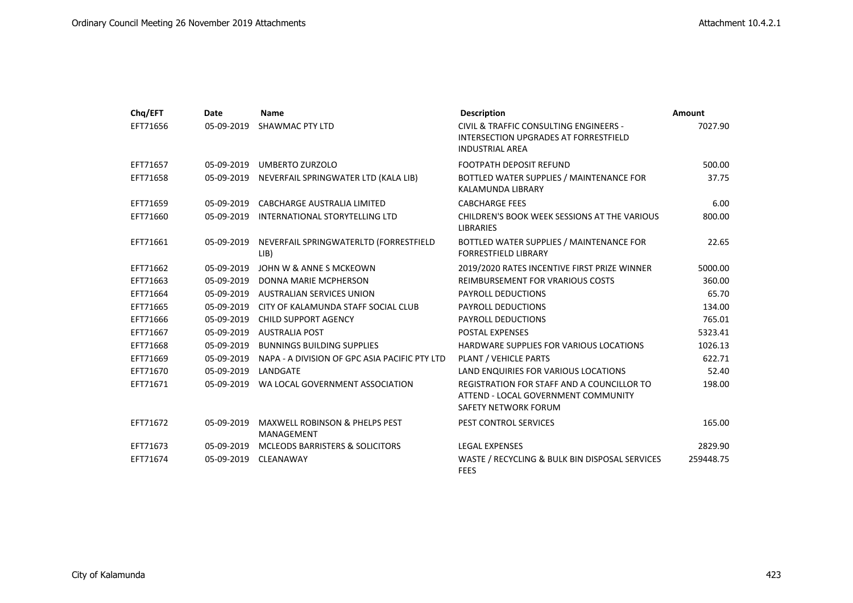| Chq/EFT  | Date       | <b>Name</b>                                             | <b>Description</b>                                                                                                          | <b>Amount</b> |
|----------|------------|---------------------------------------------------------|-----------------------------------------------------------------------------------------------------------------------------|---------------|
| EFT71656 | 05-09-2019 | <b>SHAWMAC PTY LTD</b>                                  | <b>CIVIL &amp; TRAFFIC CONSULTING ENGINEERS -</b><br><b>INTERSECTION UPGRADES AT FORRESTFIELD</b><br><b>INDUSTRIAL AREA</b> | 7027.90       |
| EFT71657 |            | 05-09-2019 UMBERTO ZURZOLO                              | <b>FOOTPATH DEPOSIT REFUND</b>                                                                                              | 500.00        |
| EFT71658 | 05-09-2019 | NEVERFAIL SPRINGWATER LTD (KALA LIB)                    | BOTTLED WATER SUPPLIES / MAINTENANCE FOR<br>KALAMUNDA LIBRARY                                                               | 37.75         |
| EFT71659 | 05-09-2019 | <b>CABCHARGE AUSTRALIA LIMITED</b>                      | <b>CABCHARGE FEES</b>                                                                                                       | 6.00          |
| EFT71660 | 05-09-2019 | INTERNATIONAL STORYTELLING LTD                          | CHILDREN'S BOOK WEEK SESSIONS AT THE VARIOUS<br><b>LIBRARIES</b>                                                            | 800.00        |
| EFT71661 | 05-09-2019 | NEVERFAIL SPRINGWATERLTD (FORRESTFIELD<br>LIB)          | BOTTLED WATER SUPPLIES / MAINTENANCE FOR<br><b>FORRESTFIELD LIBRARY</b>                                                     | 22.65         |
| EFT71662 | 05-09-2019 | JOHN W & ANNE S MCKEOWN                                 | 2019/2020 RATES INCENTIVE FIRST PRIZE WINNER                                                                                | 5000.00       |
| EFT71663 | 05-09-2019 | DONNA MARIE MCPHERSON                                   | REIMBURSEMENT FOR VRARIOUS COSTS                                                                                            | 360.00        |
| EFT71664 | 05-09-2019 | <b>AUSTRALIAN SERVICES UNION</b>                        | <b>PAYROLL DEDUCTIONS</b>                                                                                                   | 65.70         |
| EFT71665 | 05-09-2019 | CITY OF KALAMUNDA STAFF SOCIAL CLUB                     | PAYROLL DEDUCTIONS                                                                                                          | 134.00        |
| EFT71666 |            | 05-09-2019 CHILD SUPPORT AGENCY                         | PAYROLL DEDUCTIONS                                                                                                          | 765.01        |
| EFT71667 |            | 05-09-2019 AUSTRALIA POST                               | <b>POSTAL EXPENSES</b>                                                                                                      | 5323.41       |
| EFT71668 | 05-09-2019 | <b>BUNNINGS BUILDING SUPPLIES</b>                       | <b>HARDWARE SUPPLIES FOR VARIOUS LOCATIONS</b>                                                                              | 1026.13       |
| EFT71669 | 05-09-2019 | NAPA - A DIVISION OF GPC ASIA PACIFIC PTY LTD           | PLANT / VEHICLE PARTS                                                                                                       | 622.71        |
| EFT71670 | 05-09-2019 | LANDGATE                                                | LAND ENQUIRIES FOR VARIOUS LOCATIONS                                                                                        | 52.40         |
| EFT71671 | 05-09-2019 | WA LOCAL GOVERNMENT ASSOCIATION                         | REGISTRATION FOR STAFF AND A COUNCILLOR TO<br>ATTEND - LOCAL GOVERNMENT COMMUNITY<br>SAFETY NETWORK FORUM                   | 198.00        |
| EFT71672 | 05-09-2019 | <b>MAXWELL ROBINSON &amp; PHELPS PEST</b><br>MANAGEMENT | PEST CONTROL SERVICES                                                                                                       | 165.00        |
| EFT71673 | 05-09-2019 | <b>MCLEODS BARRISTERS &amp; SOLICITORS</b>              | <b>LEGAL EXPENSES</b>                                                                                                       | 2829.90       |
| EFT71674 | 05-09-2019 | CLEANAWAY                                               | WASTE / RECYCLING & BULK BIN DISPOSAL SERVICES<br><b>FEES</b>                                                               | 259448.75     |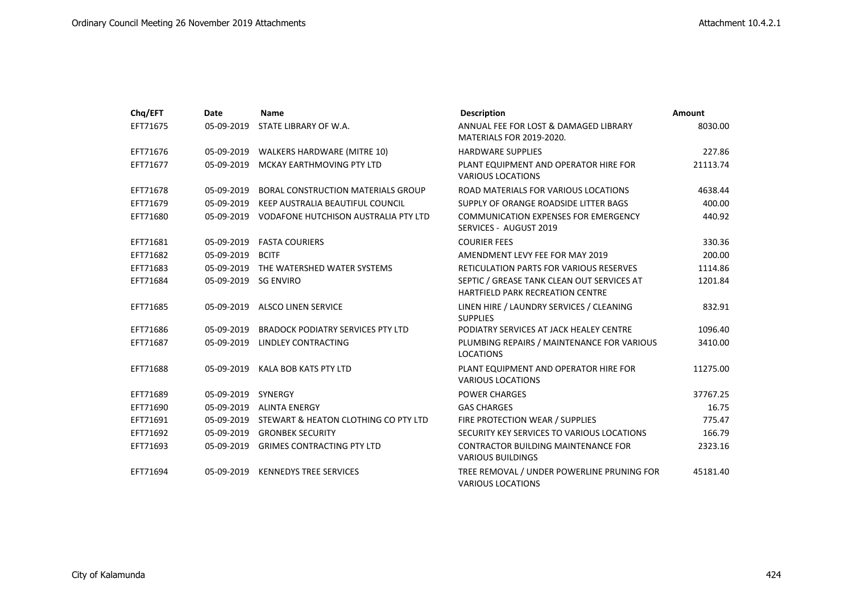| Chq/EFT  | Date       | <b>Name</b>                                     | <b>Description</b>                                                                    | <b>Amount</b> |
|----------|------------|-------------------------------------------------|---------------------------------------------------------------------------------------|---------------|
| EFT71675 | 05-09-2019 | STATE LIBRARY OF W.A.                           | ANNUAL FEE FOR LOST & DAMAGED LIBRARY<br><b>MATERIALS FOR 2019-2020.</b>              | 8030.00       |
| EFT71676 | 05-09-2019 | WALKERS HARDWARE (MITRE 10)                     | <b>HARDWARE SUPPLIES</b>                                                              | 227.86        |
| EFT71677 | 05-09-2019 | MCKAY EARTHMOVING PTY LTD                       | PLANT EQUIPMENT AND OPERATOR HIRE FOR<br><b>VARIOUS LOCATIONS</b>                     | 21113.74      |
| EFT71678 | 05-09-2019 | <b>BORAL CONSTRUCTION MATERIALS GROUP</b>       | ROAD MATERIALS FOR VARIOUS LOCATIONS                                                  | 4638.44       |
| EFT71679 | 05-09-2019 | KEEP AUSTRALIA BEAUTIFUL COUNCIL                | SUPPLY OF ORANGE ROADSIDE LITTER BAGS                                                 | 400.00        |
| EFT71680 |            | 05-09-2019 VODAFONE HUTCHISON AUSTRALIA PTY LTD | <b>COMMUNICATION EXPENSES FOR EMERGENCY</b><br>SERVICES - AUGUST 2019                 | 440.92        |
| EFT71681 | 05-09-2019 | <b>FASTA COURIERS</b>                           | <b>COURIER FEES</b>                                                                   | 330.36        |
| EFT71682 | 05-09-2019 | <b>BCITF</b>                                    | AMENDMENT LEVY FEE FOR MAY 2019                                                       | 200.00        |
| EFT71683 | 05-09-2019 | THE WATERSHED WATER SYSTEMS                     | <b>RETICULATION PARTS FOR VARIOUS RESERVES</b>                                        | 1114.86       |
| EFT71684 | 05-09-2019 | SG ENVIRO                                       | SEPTIC / GREASE TANK CLEAN OUT SERVICES AT<br><b>HARTFIELD PARK RECREATION CENTRE</b> | 1201.84       |
| EFT71685 |            | 05-09-2019 ALSCO LINEN SERVICE                  | LINEN HIRE / LAUNDRY SERVICES / CLEANING<br><b>SUPPLIES</b>                           | 832.91        |
| EFT71686 | 05-09-2019 | <b>BRADOCK PODIATRY SERVICES PTY LTD</b>        | PODIATRY SERVICES AT JACK HEALEY CENTRE                                               | 1096.40       |
| EFT71687 | 05-09-2019 | LINDLEY CONTRACTING                             | PLUMBING REPAIRS / MAINTENANCE FOR VARIOUS<br><b>LOCATIONS</b>                        | 3410.00       |
| EFT71688 | 05-09-2019 | KALA BOB KATS PTY LTD                           | PLANT EQUIPMENT AND OPERATOR HIRE FOR<br><b>VARIOUS LOCATIONS</b>                     | 11275.00      |
| EFT71689 | 05-09-2019 | SYNERGY                                         | <b>POWER CHARGES</b>                                                                  | 37767.25      |
| EFT71690 | 05-09-2019 | ALINTA ENERGY                                   | <b>GAS CHARGES</b>                                                                    | 16.75         |
| EFT71691 | 05-09-2019 | STEWART & HEATON CLOTHING CO PTY LTD            | FIRE PROTECTION WEAR / SUPPLIES                                                       | 775.47        |
| EFT71692 | 05-09-2019 | <b>GRONBEK SECURITY</b>                         | SECURITY KEY SERVICES TO VARIOUS LOCATIONS                                            | 166.79        |
| EFT71693 | 05-09-2019 | <b>GRIMES CONTRACTING PTY LTD</b>               | <b>CONTRACTOR BUILDING MAINTENANCE FOR</b><br><b>VARIOUS BUILDINGS</b>                | 2323.16       |
| EFT71694 | 05-09-2019 | <b>KENNEDYS TREE SERVICES</b>                   | TREE REMOVAL / UNDER POWERLINE PRUNING FOR<br><b>VARIOUS LOCATIONS</b>                | 45181.40      |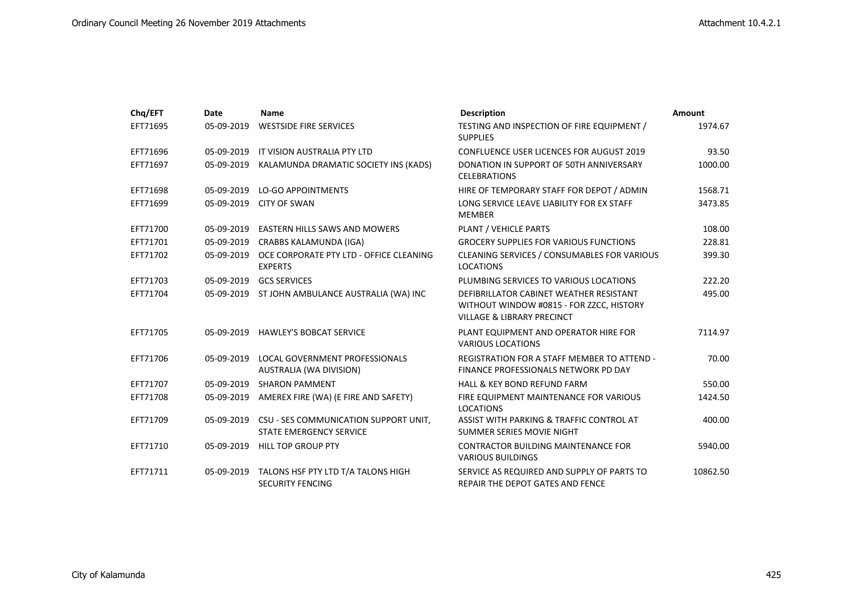| Chq/EFT  | Date       | <b>Name</b>                                                             | <b>Description</b>                                                                                                           | <b>Amount</b> |
|----------|------------|-------------------------------------------------------------------------|------------------------------------------------------------------------------------------------------------------------------|---------------|
| EFT71695 | 05-09-2019 | <b>WESTSIDE FIRE SERVICES</b>                                           | TESTING AND INSPECTION OF FIRE EQUIPMENT /<br><b>SUPPLIES</b>                                                                | 1974.67       |
| EFT71696 | 05-09-2019 | IT VISION AUSTRALIA PTY LTD                                             | <b>CONFLUENCE USER LICENCES FOR AUGUST 2019</b>                                                                              | 93.50         |
| EFT71697 | 05-09-2019 | KALAMUNDA DRAMATIC SOCIETY INS (KADS)                                   | DONATION IN SUPPORT OF 50TH ANNIVERSARY<br><b>CELEBRATIONS</b>                                                               | 1000.00       |
| EFT71698 | 05-09-2019 | <b>LO-GO APPOINTMENTS</b>                                               | HIRE OF TEMPORARY STAFF FOR DEPOT / ADMIN                                                                                    | 1568.71       |
| EFT71699 | 05-09-2019 | <b>CITY OF SWAN</b>                                                     | LONG SERVICE LEAVE LIABILITY FOR EX STAFF<br><b>MEMBER</b>                                                                   | 3473.85       |
| EFT71700 | 05-09-2019 | <b>EASTERN HILLS SAWS AND MOWERS</b>                                    | PLANT / VEHICLE PARTS                                                                                                        | 108.00        |
| EFT71701 | 05-09-2019 | CRABBS KALAMUNDA (IGA)                                                  | <b>GROCERY SUPPLIES FOR VARIOUS FUNCTIONS</b>                                                                                | 228.81        |
| EFT71702 | 05-09-2019 | OCE CORPORATE PTY LTD - OFFICE CLEANING<br><b>EXPERTS</b>               | <b>CLEANING SERVICES / CONSUMABLES FOR VARIOUS</b><br><b>LOCATIONS</b>                                                       | 399.30        |
| EFT71703 | 05-09-2019 | <b>GCS SERVICES</b>                                                     | PLUMBING SERVICES TO VARIOUS LOCATIONS                                                                                       | 222.20        |
| EFT71704 | 05-09-2019 | ST JOHN AMBULANCE AUSTRALIA (WA) INC                                    | DEFIBRILLATOR CABINET WEATHER RESISTANT<br>WITHOUT WINDOW #0815 - FOR ZZCC, HISTORY<br><b>VILLAGE &amp; LIBRARY PRECINCT</b> | 495.00        |
| EFT71705 |            | 05-09-2019 HAWLEY'S BOBCAT SERVICE                                      | PLANT EQUIPMENT AND OPERATOR HIRE FOR<br><b>VARIOUS LOCATIONS</b>                                                            | 7114.97       |
| EFT71706 | 05-09-2019 | LOCAL GOVERNMENT PROFESSIONALS<br>AUSTRALIA (WA DIVISION)               | <b>REGISTRATION FOR A STAFF MEMBER TO ATTEND -</b><br>FINANCE PROFESSIONALS NETWORK PD DAY                                   | 70.00         |
| EFT71707 | 05-09-2019 | <b>SHARON PAMMENT</b>                                                   | <b>HALL &amp; KEY BOND REFUND FARM</b>                                                                                       | 550.00        |
| EFT71708 | 05-09-2019 | AMEREX FIRE (WA) (E FIRE AND SAFETY)                                    | FIRE EQUIPMENT MAINTENANCE FOR VARIOUS<br><b>LOCATIONS</b>                                                                   | 1424.50       |
| EFT71709 | 05-09-2019 | CSU - SES COMMUNICATION SUPPORT UNIT,<br><b>STATE EMERGENCY SERVICE</b> | ASSIST WITH PARKING & TRAFFIC CONTROL AT<br>SUMMER SERIES MOVIE NIGHT                                                        | 400.00        |
| EFT71710 | 05-09-2019 | <b>HILL TOP GROUP PTY</b>                                               | <b>CONTRACTOR BUILDING MAINTENANCE FOR</b><br><b>VARIOUS BUILDINGS</b>                                                       | 5940.00       |
| EFT71711 | 05-09-2019 | TALONS HSF PTY LTD T/A TALONS HIGH<br><b>SECURITY FENCING</b>           | SERVICE AS REQUIRED AND SUPPLY OF PARTS TO<br><b>REPAIR THE DEPOT GATES AND FENCE</b>                                        | 10862.50      |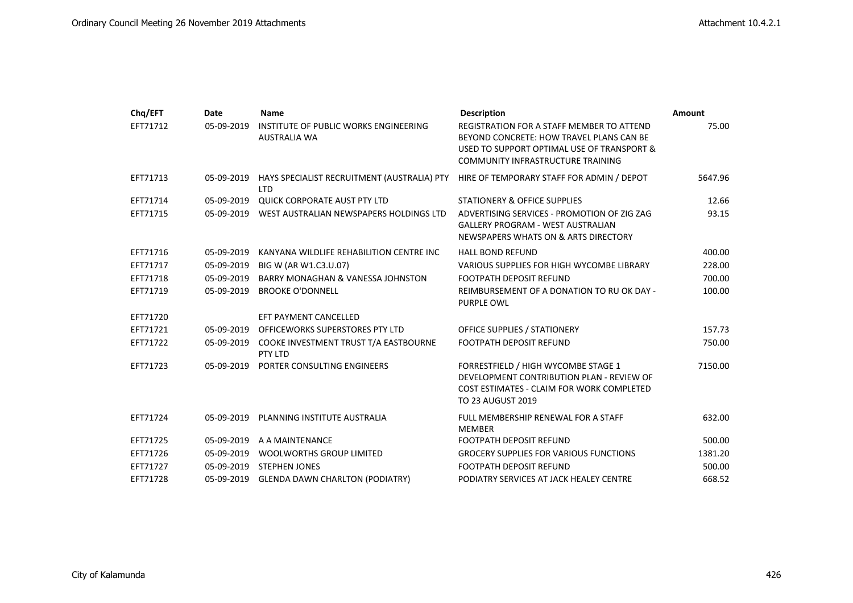| Chq/EFT  | Date       | <b>Name</b>                                                  | <b>Description</b>                                                                                                                                                              | Amount  |
|----------|------------|--------------------------------------------------------------|---------------------------------------------------------------------------------------------------------------------------------------------------------------------------------|---------|
| EFT71712 | 05-09-2019 | INSTITUTE OF PUBLIC WORKS ENGINEERING<br><b>AUSTRALIA WA</b> | REGISTRATION FOR A STAFF MEMBER TO ATTEND<br>BEYOND CONCRETE: HOW TRAVEL PLANS CAN BE<br>USED TO SUPPORT OPTIMAL USE OF TRANSPORT &<br><b>COMMUNITY INFRASTRUCTURE TRAINING</b> | 75.00   |
| EFT71713 | 05-09-2019 | HAYS SPECIALIST RECRUITMENT (AUSTRALIA) PTY<br><b>LTD</b>    | HIRE OF TEMPORARY STAFF FOR ADMIN / DEPOT                                                                                                                                       | 5647.96 |
| EFT71714 | 05-09-2019 | <b>QUICK CORPORATE AUST PTY LTD</b>                          | <b>STATIONERY &amp; OFFICE SUPPLIES</b>                                                                                                                                         | 12.66   |
| EFT71715 |            | 05-09-2019 WEST AUSTRALIAN NEWSPAPERS HOLDINGS LTD           | ADVERTISING SERVICES - PROMOTION OF ZIG ZAG<br><b>GALLERY PROGRAM - WEST AUSTRALIAN</b><br>NEWSPAPERS WHATS ON & ARTS DIRECTORY                                                 | 93.15   |
| EFT71716 | 05-09-2019 | KANYANA WILDLIFE REHABILITION CENTRE INC                     | <b>HALL BOND REFUND</b>                                                                                                                                                         | 400.00  |
| EFT71717 | 05-09-2019 | BIG W (AR W1.C3.U.07)                                        | VARIOUS SUPPLIES FOR HIGH WYCOMBE LIBRARY                                                                                                                                       | 228.00  |
| EFT71718 | 05-09-2019 | <b>BARRY MONAGHAN &amp; VANESSA JOHNSTON</b>                 | <b>FOOTPATH DEPOSIT REFUND</b>                                                                                                                                                  | 700.00  |
| EFT71719 | 05-09-2019 | <b>BROOKE O'DONNELL</b>                                      | REIMBURSEMENT OF A DONATION TO RU OK DAY -<br><b>PURPLE OWL</b>                                                                                                                 | 100.00  |
| EFT71720 |            | EFT PAYMENT CANCELLED                                        |                                                                                                                                                                                 |         |
| EFT71721 | 05-09-2019 | OFFICEWORKS SUPERSTORES PTY LTD                              | OFFICE SUPPLIES / STATIONERY                                                                                                                                                    | 157.73  |
| EFT71722 | 05-09-2019 | COOKE INVESTMENT TRUST T/A EASTBOURNE<br>PTY LTD             | <b>FOOTPATH DEPOSIT REFUND</b>                                                                                                                                                  | 750.00  |
| EFT71723 | 05-09-2019 | PORTER CONSULTING ENGINEERS                                  | FORRESTFIELD / HIGH WYCOMBE STAGE 1<br>DEVELOPMENT CONTRIBUTION PLAN - REVIEW OF<br>COST ESTIMATES - CLAIM FOR WORK COMPLETED<br><b>TO 23 AUGUST 2019</b>                       | 7150.00 |
| EFT71724 | 05-09-2019 | PLANNING INSTITUTE AUSTRALIA                                 | FULL MEMBERSHIP RENEWAL FOR A STAFF<br><b>MEMBER</b>                                                                                                                            | 632.00  |
| EFT71725 | 05-09-2019 | A A MAINTENANCE                                              | <b>FOOTPATH DEPOSIT REFUND</b>                                                                                                                                                  | 500.00  |
| EFT71726 | 05-09-2019 | <b>WOOLWORTHS GROUP LIMITED</b>                              | <b>GROCERY SUPPLIES FOR VARIOUS FUNCTIONS</b>                                                                                                                                   | 1381.20 |
| EFT71727 | 05-09-2019 | <b>STEPHEN JONES</b>                                         | <b>FOOTPATH DEPOSIT REFUND</b>                                                                                                                                                  | 500.00  |
| EFT71728 | 05-09-2019 | <b>GLENDA DAWN CHARLTON (PODIATRY)</b>                       | PODIATRY SERVICES AT JACK HEALEY CENTRE                                                                                                                                         | 668.52  |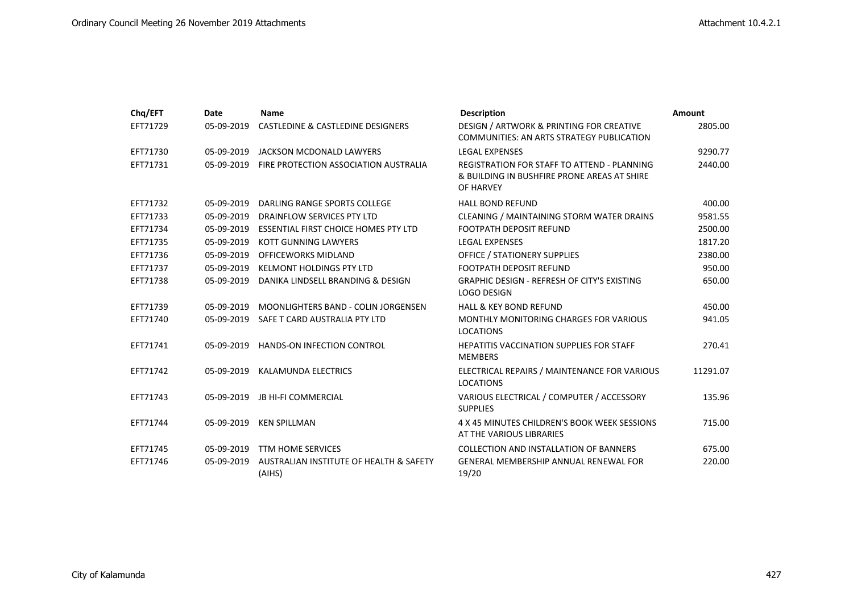| Chq/EFT  | <b>Date</b> | <b>Name</b>                                       | <b>Description</b>                                                                                             | <b>Amount</b> |
|----------|-------------|---------------------------------------------------|----------------------------------------------------------------------------------------------------------------|---------------|
| EFT71729 | 05-09-2019  | CASTLEDINE & CASTLEDINE DESIGNERS                 | DESIGN / ARTWORK & PRINTING FOR CREATIVE<br><b>COMMUNITIES: AN ARTS STRATEGY PUBLICATION</b>                   | 2805.00       |
| EFT71730 | 05-09-2019  | JACKSON MCDONALD LAWYERS                          | <b>LEGAL EXPENSES</b>                                                                                          | 9290.77       |
| EFT71731 | 05-09-2019  | FIRE PROTECTION ASSOCIATION AUSTRALIA             | <b>REGISTRATION FOR STAFF TO ATTEND - PLANNING</b><br>& BUILDING IN BUSHFIRE PRONE AREAS AT SHIRE<br>OF HARVEY | 2440.00       |
| EFT71732 | 05-09-2019  | DARLING RANGE SPORTS COLLEGE                      | <b>HALL BOND REFUND</b>                                                                                        | 400.00        |
| EFT71733 | 05-09-2019  | DRAINFLOW SERVICES PTY LTD                        | CLEANING / MAINTAINING STORM WATER DRAINS                                                                      | 9581.55       |
| EFT71734 | 05-09-2019  | <b>ESSENTIAL FIRST CHOICE HOMES PTY LTD</b>       | <b>FOOTPATH DEPOSIT REFUND</b>                                                                                 | 2500.00       |
| EFT71735 | 05-09-2019  | KOTT GUNNING LAWYERS                              | <b>LEGAL EXPENSES</b>                                                                                          | 1817.20       |
| EFT71736 | 05-09-2019  | OFFICEWORKS MIDLAND                               | <b>OFFICE / STATIONERY SUPPLIES</b>                                                                            | 2380.00       |
| EFT71737 | 05-09-2019  | <b>KELMONT HOLDINGS PTY LTD</b>                   | <b>FOOTPATH DEPOSIT REFUND</b>                                                                                 | 950.00        |
| EFT71738 | 05-09-2019  | DANIKA LINDSELL BRANDING & DESIGN                 | <b>GRAPHIC DESIGN - REFRESH OF CITY'S EXISTING</b><br><b>LOGO DESIGN</b>                                       | 650.00        |
| EFT71739 | 05-09-2019  | MOONLIGHTERS BAND - COLIN JORGENSEN               | <b>HALL &amp; KEY BOND REFUND</b>                                                                              | 450.00        |
| EFT71740 | 05-09-2019  | SAFE T CARD AUSTRALIA PTY LTD                     | <b>MONTHLY MONITORING CHARGES FOR VARIOUS</b><br><b>LOCATIONS</b>                                              | 941.05        |
| EFT71741 | 05-09-2019  | <b>HANDS-ON INFECTION CONTROL</b>                 | <b>HEPATITIS VACCINATION SUPPLIES FOR STAFF</b><br><b>MEMBERS</b>                                              | 270.41        |
| EFT71742 | 05-09-2019  | KALAMUNDA ELECTRICS                               | ELECTRICAL REPAIRS / MAINTENANCE FOR VARIOUS<br><b>LOCATIONS</b>                                               | 11291.07      |
| EFT71743 | 05-09-2019  | <b>JB HI-FI COMMERCIAL</b>                        | VARIOUS ELECTRICAL / COMPUTER / ACCESSORY<br><b>SUPPLIES</b>                                                   | 135.96        |
| EFT71744 | 05-09-2019  | <b>KEN SPILLMAN</b>                               | 4 X 45 MINUTES CHILDREN'S BOOK WEEK SESSIONS<br>AT THE VARIOUS LIBRARIES                                       | 715.00        |
| EFT71745 | 05-09-2019  | <b>TTM HOME SERVICES</b>                          | COLLECTION AND INSTALLATION OF BANNERS                                                                         | 675.00        |
| EFT71746 | 05-09-2019  | AUSTRALIAN INSTITUTE OF HEALTH & SAFETY<br>(AIHS) | <b>GENERAL MEMBERSHIP ANNUAL RENEWAL FOR</b><br>19/20                                                          | 220.00        |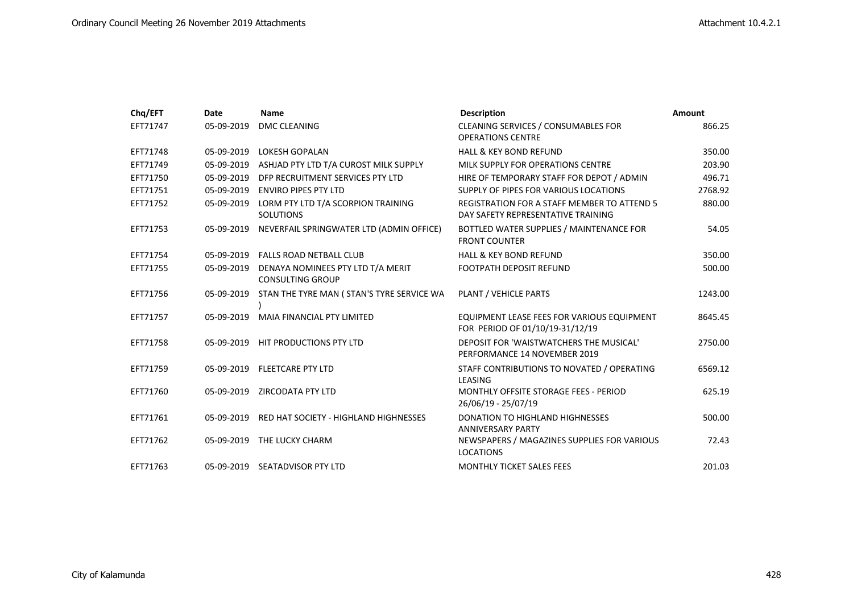| Chq/EFT  | Date       | <b>Name</b>                                                             | <b>Description</b>                                                                       | Amount  |
|----------|------------|-------------------------------------------------------------------------|------------------------------------------------------------------------------------------|---------|
| EFT71747 | 05-09-2019 | <b>DMC CLEANING</b>                                                     | CLEANING SERVICES / CONSUMABLES FOR<br><b>OPERATIONS CENTRE</b>                          | 866.25  |
| EFT71748 | 05-09-2019 | <b>LOKESH GOPALAN</b>                                                   | <b>HALL &amp; KEY BOND REFUND</b>                                                        | 350.00  |
| EFT71749 |            | 05-09-2019 ASHJAD PTY LTD T/A CUROST MILK SUPPLY                        | MILK SUPPLY FOR OPERATIONS CENTRE                                                        | 203.90  |
| EFT71750 | 05-09-2019 | DFP RECRUITMENT SERVICES PTY LTD                                        | HIRE OF TEMPORARY STAFF FOR DEPOT / ADMIN                                                | 496.71  |
| EFT71751 | 05-09-2019 | <b>ENVIRO PIPES PTY LTD</b>                                             | SUPPLY OF PIPES FOR VARIOUS LOCATIONS                                                    | 2768.92 |
| EFT71752 | 05-09-2019 | LORM PTY LTD T/A SCORPION TRAINING<br><b>SOLUTIONS</b>                  | <b>REGISTRATION FOR A STAFF MEMBER TO ATTEND 5</b><br>DAY SAFETY REPRESENTATIVE TRAINING | 880.00  |
| EFT71753 | 05-09-2019 | NEVERFAIL SPRINGWATER LTD (ADMIN OFFICE)                                | BOTTLED WATER SUPPLIES / MAINTENANCE FOR<br><b>FRONT COUNTER</b>                         | 54.05   |
| EFT71754 |            | 05-09-2019  FALLS ROAD NETBALL CLUB                                     | <b>HALL &amp; KEY BOND REFUND</b>                                                        | 350.00  |
| EFT71755 |            | 05-09-2019 DENAYA NOMINEES PTY LTD T/A MERIT<br><b>CONSULTING GROUP</b> | <b>FOOTPATH DEPOSIT REFUND</b>                                                           | 500.00  |
| EFT71756 |            | 05-09-2019 STAN THE TYRE MAN (STAN'S TYRE SERVICE WA                    | PLANT / VEHICLE PARTS                                                                    | 1243.00 |
| EFT71757 | 05-09-2019 | <b>MAIA FINANCIAL PTY LIMITED</b>                                       | EQUIPMENT LEASE FEES FOR VARIOUS EQUIPMENT<br>FOR PERIOD OF 01/10/19-31/12/19            | 8645.45 |
| EFT71758 |            | 05-09-2019 HIT PRODUCTIONS PTY LTD                                      | DEPOSIT FOR 'WAISTWATCHERS THE MUSICAL'<br>PERFORMANCE 14 NOVEMBER 2019                  | 2750.00 |
| EFT71759 |            | 05-09-2019 FLEETCARE PTY LTD                                            | STAFF CONTRIBUTIONS TO NOVATED / OPERATING<br>LEASING                                    | 6569.12 |
| EFT71760 |            | 05-09-2019 ZIRCODATA PTY LTD                                            | MONTHLY OFFSITE STORAGE FEES - PERIOD<br>26/06/19 - 25/07/19                             | 625.19  |
| EFT71761 | 05-09-2019 | RED HAT SOCIETY - HIGHLAND HIGHNESSES                                   | <b>DONATION TO HIGHLAND HIGHNESSES</b><br><b>ANNIVERSARY PARTY</b>                       | 500.00  |
| EFT71762 |            | 05-09-2019 THE LUCKY CHARM                                              | NEWSPAPERS / MAGAZINES SUPPLIES FOR VARIOUS<br><b>LOCATIONS</b>                          | 72.43   |
| EFT71763 |            | 05-09-2019 SEATADVISOR PTY LTD                                          | <b>MONTHLY TICKET SALES FEES</b>                                                         | 201.03  |
|          |            |                                                                         |                                                                                          |         |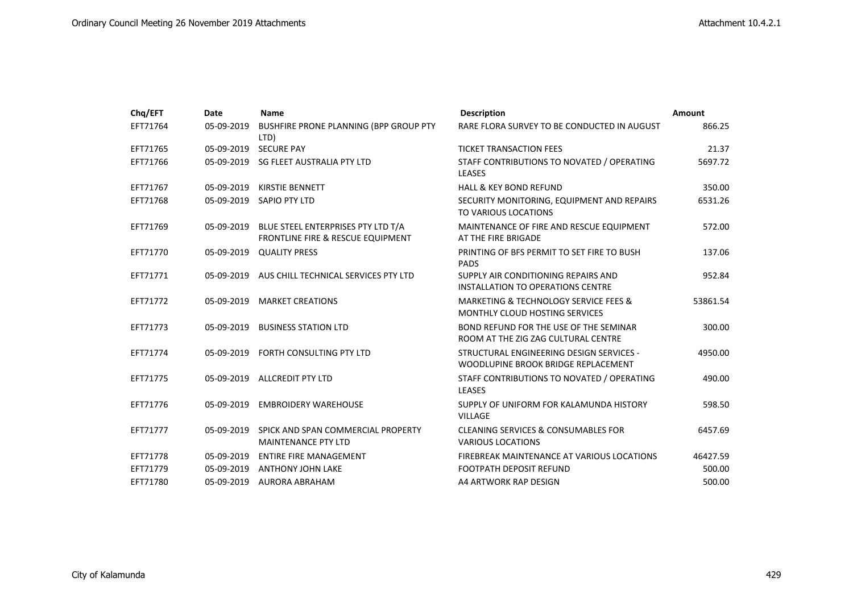| Chq/EFT  | <b>Date</b> | <b>Name</b>                                                             | <b>Description</b>                                                              | Amount   |
|----------|-------------|-------------------------------------------------------------------------|---------------------------------------------------------------------------------|----------|
| EFT71764 | 05-09-2019  | BUSHFIRE PRONE PLANNING (BPP GROUP PTY<br>LTD)                          | RARE FLORA SURVEY TO BE CONDUCTED IN AUGUST                                     | 866.25   |
| EFT71765 | 05-09-2019  | <b>SECURE PAY</b>                                                       | <b>TICKET TRANSACTION FEES</b>                                                  | 21.37    |
| EFT71766 | 05-09-2019  | SG FLEET AUSTRALIA PTY LTD                                              | STAFF CONTRIBUTIONS TO NOVATED / OPERATING<br><b>LEASES</b>                     | 5697.72  |
| EFT71767 | 05-09-2019  | <b>KIRSTIE BENNETT</b>                                                  | <b>HALL &amp; KEY BOND REFUND</b>                                               | 350.00   |
| EFT71768 | 05-09-2019  | SAPIO PTY LTD                                                           | SECURITY MONITORING, EQUIPMENT AND REPAIRS<br>TO VARIOUS LOCATIONS              | 6531.26  |
| EFT71769 | 05-09-2019  | BLUE STEEL ENTERPRISES PTY LTD T/A<br>FRONTLINE FIRE & RESCUE EQUIPMENT | MAINTENANCE OF FIRE AND RESCUE EQUIPMENT<br>AT THE FIRE BRIGADE                 | 572.00   |
| EFT71770 | 05-09-2019  | <b>QUALITY PRESS</b>                                                    | PRINTING OF BFS PERMIT TO SET FIRE TO BUSH<br><b>PADS</b>                       | 137.06   |
| EFT71771 | 05-09-2019  | AUS CHILL TECHNICAL SERVICES PTY LTD                                    | SUPPLY AIR CONDITIONING REPAIRS AND<br>INSTALLATION TO OPERATIONS CENTRE        | 952.84   |
| EFT71772 | 05-09-2019  | <b>MARKET CREATIONS</b>                                                 | MARKETING & TECHNOLOGY SERVICE FEES &<br>MONTHLY CLOUD HOSTING SERVICES         | 53861.54 |
| EFT71773 | 05-09-2019  | <b>BUSINESS STATION LTD</b>                                             | BOND REFUND FOR THE USE OF THE SEMINAR<br>ROOM AT THE ZIG ZAG CULTURAL CENTRE   | 300.00   |
| EFT71774 | 05-09-2019  | FORTH CONSULTING PTY LTD                                                | STRUCTURAL ENGINEERING DESIGN SERVICES -<br>WOODLUPINE BROOK BRIDGE REPLACEMENT | 4950.00  |
| EFT71775 | 05-09-2019  | <b>ALLCREDIT PTY LTD</b>                                                | STAFF CONTRIBUTIONS TO NOVATED / OPERATING<br><b>LEASES</b>                     | 490.00   |
| EFT71776 | 05-09-2019  | <b>EMBROIDERY WAREHOUSE</b>                                             | SUPPLY OF UNIFORM FOR KALAMUNDA HISTORY<br><b>VILLAGE</b>                       | 598.50   |
| EFT71777 | 05-09-2019  | SPICK AND SPAN COMMERCIAL PROPERTY<br><b>MAINTENANCE PTY LTD</b>        | <b>CLEANING SERVICES &amp; CONSUMABLES FOR</b><br><b>VARIOUS LOCATIONS</b>      | 6457.69  |
| EFT71778 | 05-09-2019  | <b>ENTIRE FIRE MANAGEMENT</b>                                           | FIREBREAK MAINTENANCE AT VARIOUS LOCATIONS                                      | 46427.59 |
| EFT71779 | 05-09-2019  | <b>ANTHONY JOHN LAKE</b>                                                | <b>FOOTPATH DEPOSIT REFUND</b>                                                  | 500.00   |
| EFT71780 | 05-09-2019  | AURORA ABRAHAM                                                          | A4 ARTWORK RAP DESIGN                                                           | 500.00   |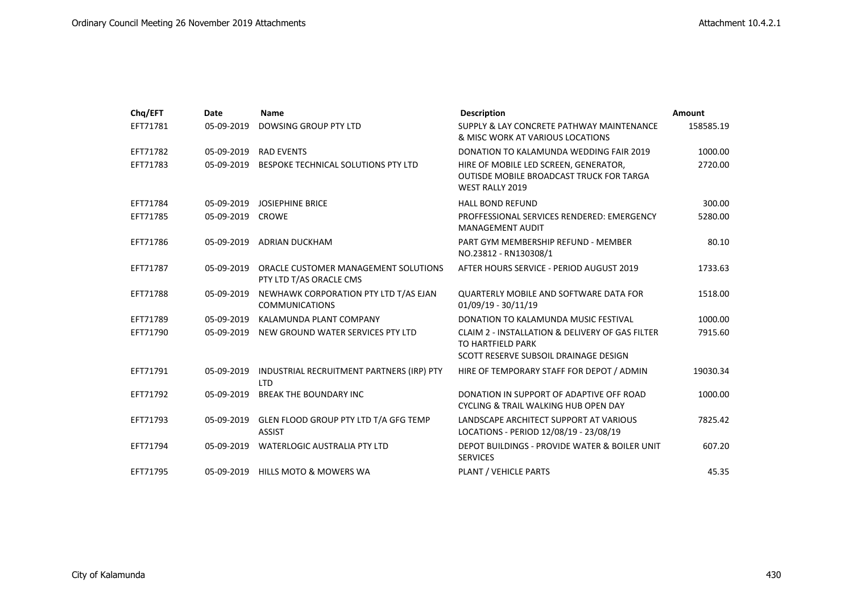| Chq/EFT  | Date       | Name                                                            | <b>Description</b>                                                                                                 | Amount    |
|----------|------------|-----------------------------------------------------------------|--------------------------------------------------------------------------------------------------------------------|-----------|
| EFT71781 | 05-09-2019 | DOWSING GROUP PTY LTD                                           | SUPPLY & LAY CONCRETE PATHWAY MAINTENANCE<br>& MISC WORK AT VARIOUS LOCATIONS                                      | 158585.19 |
| EFT71782 | 05-09-2019 | <b>RAD EVENTS</b>                                               | DONATION TO KALAMUNDA WEDDING FAIR 2019                                                                            | 1000.00   |
| EFT71783 | 05-09-2019 | BESPOKE TECHNICAL SOLUTIONS PTY LTD                             | HIRE OF MOBILE LED SCREEN, GENERATOR,<br><b>OUTISDE MOBILE BROADCAST TRUCK FOR TARGA</b><br><b>WEST RALLY 2019</b> | 2720.00   |
| EFT71784 | 05-09-2019 | <b>JOSIEPHINE BRICE</b>                                         | <b>HALL BOND REFUND</b>                                                                                            | 300.00    |
| EFT71785 | 05-09-2019 | <b>CROWE</b>                                                    | PROFFESSIONAL SERVICES RENDERED: EMERGENCY<br><b>MANAGEMENT AUDIT</b>                                              | 5280.00   |
| EFT71786 | 05-09-2019 | ADRIAN DUCKHAM                                                  | PART GYM MEMBERSHIP REFUND - MEMBER<br>NO.23812 - RN130308/1                                                       | 80.10     |
| EFT71787 | 05-09-2019 | ORACLE CUSTOMER MANAGEMENT SOLUTIONS<br>PTY LTD T/AS ORACLE CMS | AFTER HOURS SERVICE - PERIOD AUGUST 2019                                                                           | 1733.63   |
| EFT71788 | 05-09-2019 | NEWHAWK CORPORATION PTY LTD T/AS EJAN<br><b>COMMUNICATIONS</b>  | <b>QUARTERLY MOBILE AND SOFTWARE DATA FOR</b><br>$01/09/19 - 30/11/19$                                             | 1518.00   |
| EFT71789 | 05-09-2019 | KALAMUNDA PLANT COMPANY                                         | DONATION TO KALAMUNDA MUSIC FESTIVAL                                                                               | 1000.00   |
| EFT71790 | 05-09-2019 | NEW GROUND WATER SERVICES PTY LTD                               | CLAIM 2 - INSTALLATION & DELIVERY OF GAS FILTER<br>TO HARTFIELD PARK<br>SCOTT RESERVE SUBSOIL DRAINAGE DESIGN      | 7915.60   |
| EFT71791 | 05-09-2019 | INDUSTRIAL RECRUITMENT PARTNERS (IRP) PTY<br><b>LTD</b>         | HIRE OF TEMPORARY STAFF FOR DEPOT / ADMIN                                                                          | 19030.34  |
| EFT71792 | 05-09-2019 | <b>BREAK THE BOUNDARY INC</b>                                   | DONATION IN SUPPORT OF ADAPTIVE OFF ROAD<br>CYCLING & TRAIL WALKING HUB OPEN DAY                                   | 1000.00   |
| EFT71793 | 05-09-2019 | GLEN FLOOD GROUP PTY LTD T/A GFG TEMP<br><b>ASSIST</b>          | LANDSCAPE ARCHITECT SUPPORT AT VARIOUS<br>LOCATIONS - PERIOD 12/08/19 - 23/08/19                                   | 7825.42   |
| EFT71794 | 05-09-2019 | WATERLOGIC AUSTRALIA PTY LTD                                    | DEPOT BUILDINGS - PROVIDE WATER & BOILER UNIT<br><b>SERVICES</b>                                                   | 607.20    |
| EFT71795 | 05-09-2019 | <b>HILLS MOTO &amp; MOWERS WA</b>                               | PLANT / VEHICLE PARTS                                                                                              | 45.35     |
|          |            |                                                                 |                                                                                                                    |           |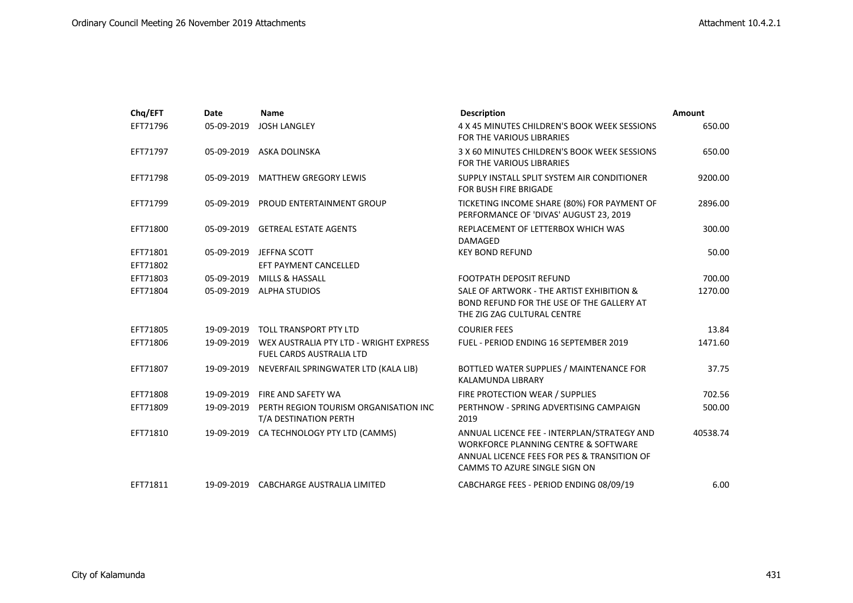| Chq/EFT  | Date       | <b>Name</b>                                                               | <b>Description</b>                                                                                                                                                             | Amount   |
|----------|------------|---------------------------------------------------------------------------|--------------------------------------------------------------------------------------------------------------------------------------------------------------------------------|----------|
| EFT71796 | 05-09-2019 | <b>JOSH LANGLEY</b>                                                       | 4 X 45 MINUTES CHILDREN'S BOOK WEEK SESSIONS<br><b>FOR THE VARIOUS LIBRARIES</b>                                                                                               | 650.00   |
| EFT71797 | 05-09-2019 | ASKA DOLINSKA                                                             | 3 X 60 MINUTES CHILDREN'S BOOK WEEK SESSIONS<br>FOR THE VARIOUS LIBRARIES                                                                                                      | 650.00   |
| EFT71798 | 05-09-2019 | <b>MATTHEW GREGORY LEWIS</b>                                              | SUPPLY INSTALL SPLIT SYSTEM AIR CONDITIONER<br>FOR BUSH FIRE BRIGADE                                                                                                           | 9200.00  |
| EFT71799 | 05-09-2019 | PROUD ENTERTAINMENT GROUP                                                 | TICKETING INCOME SHARE (80%) FOR PAYMENT OF<br>PERFORMANCE OF 'DIVAS' AUGUST 23, 2019                                                                                          | 2896.00  |
| EFT71800 |            | 05-09-2019 GETREAL ESTATE AGENTS                                          | REPLACEMENT OF LETTERBOX WHICH WAS<br><b>DAMAGED</b>                                                                                                                           | 300.00   |
| EFT71801 | 05-09-2019 | JEFFNA SCOTT                                                              | <b>KEY BOND REFUND</b>                                                                                                                                                         | 50.00    |
| EFT71802 |            | EFT PAYMENT CANCELLED                                                     |                                                                                                                                                                                |          |
| EFT71803 | 05-09-2019 | <b>MILLS &amp; HASSALL</b>                                                | <b>FOOTPATH DEPOSIT REFUND</b>                                                                                                                                                 | 700.00   |
| EFT71804 | 05-09-2019 | <b>ALPHA STUDIOS</b>                                                      | SALE OF ARTWORK - THE ARTIST EXHIBITION &<br>BOND REFUND FOR THE USE OF THE GALLERY AT<br>THE ZIG ZAG CULTURAL CENTRE                                                          | 1270.00  |
| EFT71805 | 19-09-2019 | <b>TOLL TRANSPORT PTY LTD</b>                                             | <b>COURIER FEES</b>                                                                                                                                                            | 13.84    |
| EFT71806 | 19-09-2019 | WEX AUSTRALIA PTY LTD - WRIGHT EXPRESS<br><b>FUEL CARDS AUSTRALIA LTD</b> | FUEL - PERIOD ENDING 16 SEPTEMBER 2019                                                                                                                                         | 1471.60  |
| EFT71807 | 19-09-2019 | NEVERFAIL SPRINGWATER LTD (KALA LIB)                                      | BOTTLED WATER SUPPLIES / MAINTENANCE FOR<br><b>KALAMUNDA LIBRARY</b>                                                                                                           | 37.75    |
| EFT71808 | 19-09-2019 | FIRE AND SAFETY WA                                                        | FIRE PROTECTION WEAR / SUPPLIES                                                                                                                                                | 702.56   |
| EFT71809 | 19-09-2019 | PERTH REGION TOURISM ORGANISATION INC<br>T/A DESTINATION PERTH            | PERTHNOW - SPRING ADVERTISING CAMPAIGN<br>2019                                                                                                                                 | 500.00   |
| EFT71810 | 19-09-2019 | CA TECHNOLOGY PTY LTD (CAMMS)                                             | ANNUAL LICENCE FEE - INTERPLAN/STRATEGY AND<br><b>WORKFORCE PLANNING CENTRE &amp; SOFTWARE</b><br>ANNUAL LICENCE FEES FOR PES & TRANSITION OF<br>CAMMS TO AZURE SINGLE SIGN ON | 40538.74 |
| EFT71811 |            | 19-09-2019 CABCHARGE AUSTRALIA LIMITED                                    | CABCHARGE FEES - PERIOD ENDING 08/09/19                                                                                                                                        | 6.00     |
|          |            |                                                                           |                                                                                                                                                                                |          |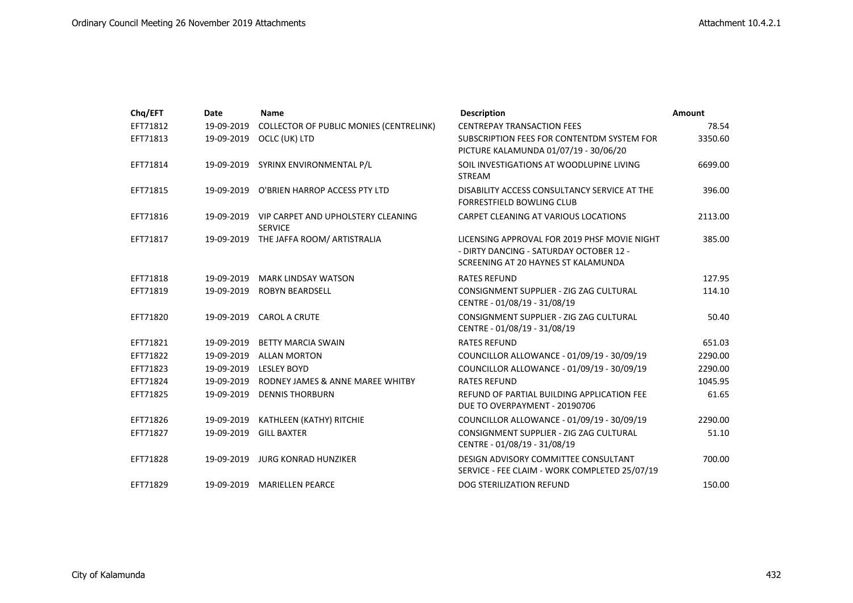| Chq/EFT  | Date       | <b>Name</b>                                                     | <b>Description</b>                                                                                                             | Amount  |
|----------|------------|-----------------------------------------------------------------|--------------------------------------------------------------------------------------------------------------------------------|---------|
| EFT71812 | 19-09-2019 | <b>COLLECTOR OF PUBLIC MONIES (CENTRELINK)</b>                  | <b>CENTREPAY TRANSACTION FEES</b>                                                                                              | 78.54   |
| EFT71813 | 19-09-2019 | OCLC (UK) LTD                                                   | SUBSCRIPTION FEES FOR CONTENTDM SYSTEM FOR<br>PICTURE KALAMUNDA 01/07/19 - 30/06/20                                            | 3350.60 |
| EFT71814 | 19-09-2019 | SYRINX ENVIRONMENTAL P/L                                        | SOIL INVESTIGATIONS AT WOODLUPINE LIVING<br><b>STREAM</b>                                                                      | 6699.00 |
| EFT71815 |            | 19-09-2019 O'BRIEN HARROP ACCESS PTY LTD                        | DISABILITY ACCESS CONSULTANCY SERVICE AT THE<br><b>FORRESTFIELD BOWLING CLUB</b>                                               | 396.00  |
| EFT71816 |            | 19-09-2019 VIP CARPET AND UPHOLSTERY CLEANING<br><b>SERVICE</b> | CARPET CLEANING AT VARIOUS LOCATIONS                                                                                           | 2113.00 |
| EFT71817 |            | 19-09-2019 THE JAFFA ROOM/ ARTISTRALIA                          | LICENSING APPROVAL FOR 2019 PHSF MOVIE NIGHT<br>- DIRTY DANCING - SATURDAY OCTOBER 12 -<br>SCREENING AT 20 HAYNES ST KALAMUNDA | 385.00  |
| EFT71818 | 19-09-2019 | <b>MARK LINDSAY WATSON</b>                                      | <b>RATES REFUND</b>                                                                                                            | 127.95  |
| EFT71819 | 19-09-2019 | <b>ROBYN BEARDSELL</b>                                          | CONSIGNMENT SUPPLIER - ZIG ZAG CULTURAL<br>CENTRE - 01/08/19 - 31/08/19                                                        | 114.10  |
| EFT71820 | 19-09-2019 | <b>CAROL A CRUTE</b>                                            | CONSIGNMENT SUPPLIER - ZIG ZAG CULTURAL<br>CENTRE - 01/08/19 - 31/08/19                                                        | 50.40   |
| EFT71821 | 19-09-2019 | <b>BETTY MARCIA SWAIN</b>                                       | <b>RATES REFUND</b>                                                                                                            | 651.03  |
| EFT71822 | 19-09-2019 | <b>ALLAN MORTON</b>                                             | COUNCILLOR ALLOWANCE - 01/09/19 - 30/09/19                                                                                     | 2290.00 |
| EFT71823 | 19-09-2019 | <b>LESLEY BOYD</b>                                              | COUNCILLOR ALLOWANCE - 01/09/19 - 30/09/19                                                                                     | 2290.00 |
| EFT71824 | 19-09-2019 | RODNEY JAMES & ANNE MAREE WHITBY                                | <b>RATES REFUND</b>                                                                                                            | 1045.95 |
| EFT71825 | 19-09-2019 | <b>DENNIS THORBURN</b>                                          | REFUND OF PARTIAL BUILDING APPLICATION FEE<br>DUE TO OVERPAYMENT - 20190706                                                    | 61.65   |
| EFT71826 | 19-09-2019 | KATHLEEN (KATHY) RITCHIE                                        | COUNCILLOR ALLOWANCE - 01/09/19 - 30/09/19                                                                                     | 2290.00 |
| EFT71827 | 19-09-2019 | <b>GILL BAXTER</b>                                              | CONSIGNMENT SUPPLIER - ZIG ZAG CULTURAL<br>CENTRE - 01/08/19 - 31/08/19                                                        | 51.10   |
| EFT71828 | 19-09-2019 | JURG KONRAD HUNZIKER                                            | DESIGN ADVISORY COMMITTEE CONSULTANT<br>SERVICE - FEE CLAIM - WORK COMPLETED 25/07/19                                          | 700.00  |
| EFT71829 | 19-09-2019 | <b>MARIELLEN PEARCE</b>                                         | DOG STERILIZATION REFUND                                                                                                       | 150.00  |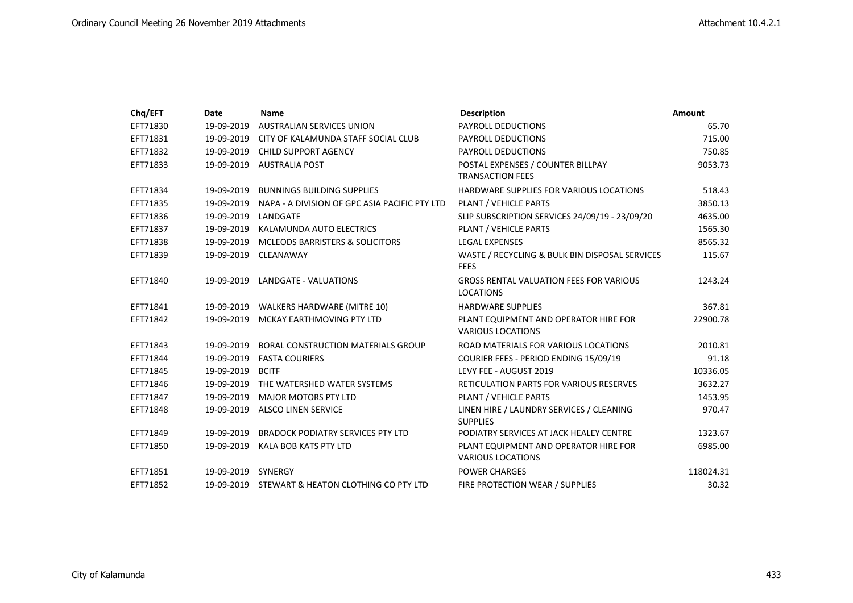| Chq/EFT  | Date               | <b>Name</b>                                     | <b>Description</b>                                                 | Amount    |
|----------|--------------------|-------------------------------------------------|--------------------------------------------------------------------|-----------|
| EFT71830 | 19-09-2019         | <b>AUSTRALIAN SERVICES UNION</b>                | PAYROLL DEDUCTIONS                                                 | 65.70     |
| EFT71831 | 19-09-2019         | CITY OF KALAMUNDA STAFF SOCIAL CLUB             | PAYROLL DEDUCTIONS                                                 | 715.00    |
| EFT71832 | 19-09-2019         | <b>CHILD SUPPORT AGENCY</b>                     | PAYROLL DEDUCTIONS                                                 | 750.85    |
| EFT71833 |                    | 19-09-2019 AUSTRALIA POST                       | POSTAL EXPENSES / COUNTER BILLPAY<br><b>TRANSACTION FEES</b>       | 9053.73   |
| EFT71834 | 19-09-2019         | <b>BUNNINGS BUILDING SUPPLIES</b>               | HARDWARE SUPPLIES FOR VARIOUS LOCATIONS                            | 518.43    |
| EFT71835 | 19-09-2019         | NAPA - A DIVISION OF GPC ASIA PACIFIC PTY LTD   | PLANT / VEHICLE PARTS                                              | 3850.13   |
| EFT71836 | 19-09-2019         | LANDGATE                                        | SLIP SUBSCRIPTION SERVICES 24/09/19 - 23/09/20                     | 4635.00   |
| EFT71837 | 19-09-2019         | KALAMUNDA AUTO ELECTRICS                        | <b>PLANT / VEHICLE PARTS</b>                                       | 1565.30   |
| EFT71838 | 19-09-2019         | <b>MCLEODS BARRISTERS &amp; SOLICITORS</b>      | <b>LEGAL EXPENSES</b>                                              | 8565.32   |
| EFT71839 | 19-09-2019         | CLEANAWAY                                       | WASTE / RECYCLING & BULK BIN DISPOSAL SERVICES<br><b>FEES</b>      | 115.67    |
| EFT71840 |                    | 19-09-2019 LANDGATE - VALUATIONS                | <b>GROSS RENTAL VALUATION FEES FOR VARIOUS</b><br><b>LOCATIONS</b> | 1243.24   |
| EFT71841 | 19-09-2019         | <b>WALKERS HARDWARE (MITRE 10)</b>              | <b>HARDWARE SUPPLIES</b>                                           | 367.81    |
| EFT71842 | 19-09-2019         | MCKAY EARTHMOVING PTY LTD                       | PLANT EQUIPMENT AND OPERATOR HIRE FOR<br><b>VARIOUS LOCATIONS</b>  | 22900.78  |
| EFT71843 | 19-09-2019         | <b>BORAL CONSTRUCTION MATERIALS GROUP</b>       | ROAD MATERIALS FOR VARIOUS LOCATIONS                               | 2010.81   |
| EFT71844 | 19-09-2019         | <b>FASTA COURIERS</b>                           | COURIER FEES - PERIOD ENDING 15/09/19                              | 91.18     |
| EFT71845 | 19-09-2019         | <b>BCITF</b>                                    | LEVY FEE - AUGUST 2019                                             | 10336.05  |
| EFT71846 | 19-09-2019         | THE WATERSHED WATER SYSTEMS                     | <b>RETICULATION PARTS FOR VARIOUS RESERVES</b>                     | 3632.27   |
| EFT71847 | 19-09-2019         | MAJOR MOTORS PTY LTD                            | PLANT / VEHICLE PARTS                                              | 1453.95   |
| EFT71848 |                    | 19-09-2019 ALSCO LINEN SERVICE                  | LINEN HIRE / LAUNDRY SERVICES / CLEANING<br><b>SUPPLIES</b>        | 970.47    |
| EFT71849 | 19-09-2019         | <b>BRADOCK PODIATRY SERVICES PTY LTD</b>        | PODIATRY SERVICES AT JACK HEALEY CENTRE                            | 1323.67   |
| EFT71850 | 19-09-2019         | KALA BOB KATS PTY LTD                           | PLANT EQUIPMENT AND OPERATOR HIRE FOR<br><b>VARIOUS LOCATIONS</b>  | 6985.00   |
| EFT71851 | 19-09-2019 SYNERGY |                                                 | <b>POWER CHARGES</b>                                               | 118024.31 |
| EFT71852 |                    | 19-09-2019 STEWART & HEATON CLOTHING CO PTY LTD | FIRE PROTECTION WEAR / SUPPLIES                                    | 30.32     |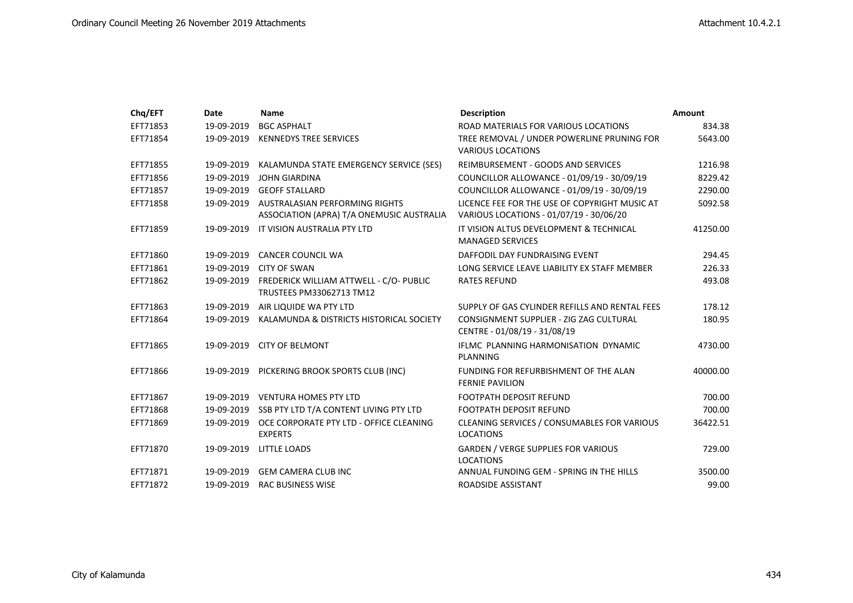| Chq/EFT  | Date       | <b>Name</b>                                                                            | <b>Description</b>                                                                       | Amount   |
|----------|------------|----------------------------------------------------------------------------------------|------------------------------------------------------------------------------------------|----------|
| EFT71853 | 19-09-2019 | <b>BGC ASPHALT</b>                                                                     | ROAD MATERIALS FOR VARIOUS LOCATIONS                                                     | 834.38   |
| EFT71854 | 19-09-2019 | <b>KENNEDYS TREE SERVICES</b>                                                          | TREE REMOVAL / UNDER POWERLINE PRUNING FOR<br><b>VARIOUS LOCATIONS</b>                   | 5643.00  |
| EFT71855 | 19-09-2019 | KALAMUNDA STATE EMERGENCY SERVICE (SES)                                                | REIMBURSEMENT - GOODS AND SERVICES                                                       | 1216.98  |
| EFT71856 | 19-09-2019 | <b>JOHN GIARDINA</b>                                                                   | COUNCILLOR ALLOWANCE - 01/09/19 - 30/09/19                                               | 8229.42  |
| EFT71857 | 19-09-2019 | <b>GEOFF STALLARD</b>                                                                  | COUNCILLOR ALLOWANCE - 01/09/19 - 30/09/19                                               | 2290.00  |
| EFT71858 |            | 19-09-2019 AUSTRALASIAN PERFORMING RIGHTS<br>ASSOCIATION (APRA) T/A ONEMUSIC AUSTRALIA | LICENCE FEE FOR THE USE OF COPYRIGHT MUSIC AT<br>VARIOUS LOCATIONS - 01/07/19 - 30/06/20 | 5092.58  |
| EFT71859 | 19-09-2019 | IT VISION AUSTRALIA PTY LTD                                                            | IT VISION ALTUS DEVELOPMENT & TECHNICAL<br><b>MANAGED SERVICES</b>                       | 41250.00 |
| EFT71860 | 19-09-2019 | <b>CANCER COUNCIL WA</b>                                                               | DAFFODIL DAY FUNDRAISING EVENT                                                           | 294.45   |
| EFT71861 | 19-09-2019 | CITY OF SWAN                                                                           | LONG SERVICE LEAVE LIABILITY EX STAFF MEMBER                                             | 226.33   |
| EFT71862 | 19-09-2019 | FREDERICK WILLIAM ATTWELL - C/O- PUBLIC<br>TRUSTEES PM33062713 TM12                    | <b>RATES REFUND</b>                                                                      | 493.08   |
| EFT71863 | 19-09-2019 | AIR LIQUIDE WA PTY LTD                                                                 | SUPPLY OF GAS CYLINDER REFILLS AND RENTAL FEES                                           | 178.12   |
| EFT71864 | 19-09-2019 | KALAMUNDA & DISTRICTS HISTORICAL SOCIETY                                               | CONSIGNMENT SUPPLIER - ZIG ZAG CULTURAL<br>CENTRE - 01/08/19 - 31/08/19                  | 180.95   |
| EFT71865 |            | 19-09-2019 CITY OF BELMONT                                                             | IFLMC PLANNING HARMONISATION DYNAMIC<br>PLANNING                                         | 4730.00  |
| EFT71866 |            | 19-09-2019 PICKERING BROOK SPORTS CLUB (INC)                                           | FUNDING FOR REFURBISHMENT OF THE ALAN<br><b>FERNIE PAVILION</b>                          | 40000.00 |
| EFT71867 |            | 19-09-2019 VENTURA HOMES PTY LTD                                                       | <b>FOOTPATH DEPOSIT REFUND</b>                                                           | 700.00   |
| EFT71868 |            | 19-09-2019 SSB PTY LTD T/A CONTENT LIVING PTY LTD                                      | <b>FOOTPATH DEPOSIT REFUND</b>                                                           | 700.00   |
| EFT71869 | 19-09-2019 | OCE CORPORATE PTY LTD - OFFICE CLEANING<br><b>EXPERTS</b>                              | CLEANING SERVICES / CONSUMABLES FOR VARIOUS<br><b>LOCATIONS</b>                          | 36422.51 |
| EFT71870 | 19-09-2019 | <b>LITTLE LOADS</b>                                                                    | <b>GARDEN / VERGE SUPPLIES FOR VARIOUS</b><br><b>LOCATIONS</b>                           | 729.00   |
| EFT71871 | 19-09-2019 | <b>GEM CAMERA CLUB INC</b>                                                             | ANNUAL FUNDING GEM - SPRING IN THE HILLS                                                 | 3500.00  |
| EFT71872 | 19-09-2019 | <b>RAC BUSINESS WISE</b>                                                               | ROADSIDE ASSISTANT                                                                       | 99.00    |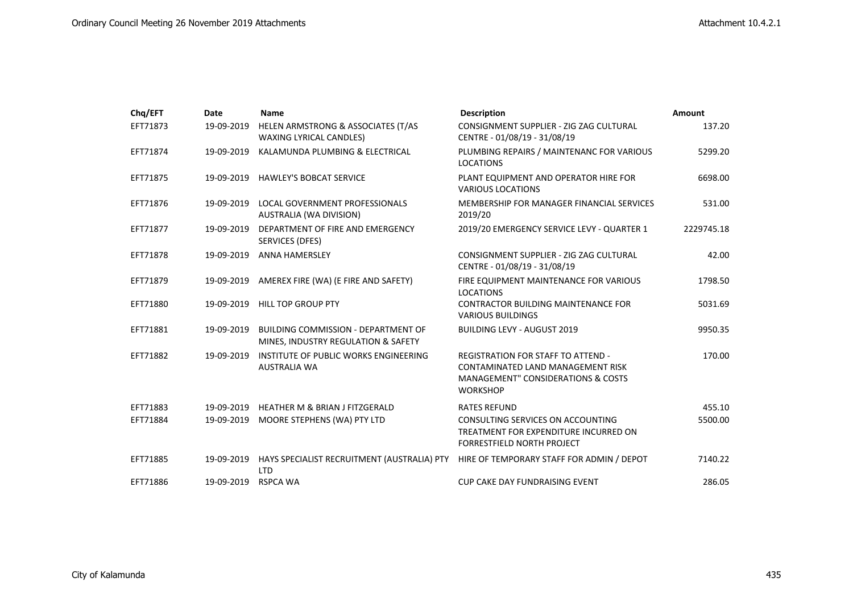| Chq/EFT  | Date       | <b>Name</b>                                                                       | <b>Description</b>                                                                                                                                 | Amount     |
|----------|------------|-----------------------------------------------------------------------------------|----------------------------------------------------------------------------------------------------------------------------------------------------|------------|
| EFT71873 | 19-09-2019 | HELEN ARMSTRONG & ASSOCIATES (T/AS<br>WAXING LYRICAL CANDLES)                     | CONSIGNMENT SUPPLIER - ZIG ZAG CULTURAL<br>CENTRE - 01/08/19 - 31/08/19                                                                            | 137.20     |
| EFT71874 | 19-09-2019 | KALAMUNDA PLUMBING & ELECTRICAL                                                   | PLUMBING REPAIRS / MAINTENANC FOR VARIOUS<br><b>LOCATIONS</b>                                                                                      | 5299.20    |
| EFT71875 | 19-09-2019 | <b>HAWLEY'S BOBCAT SERVICE</b>                                                    | PLANT EQUIPMENT AND OPERATOR HIRE FOR<br><b>VARIOUS LOCATIONS</b>                                                                                  | 6698.00    |
| EFT71876 | 19-09-2019 | LOCAL GOVERNMENT PROFESSIONALS<br>AUSTRALIA (WA DIVISION)                         | MEMBERSHIP FOR MANAGER FINANCIAL SERVICES<br>2019/20                                                                                               | 531.00     |
| EFT71877 | 19-09-2019 | DEPARTMENT OF FIRE AND EMERGENCY<br>SERVICES (DFES)                               | 2019/20 EMERGENCY SERVICE LEVY - QUARTER 1                                                                                                         | 2229745.18 |
| EFT71878 | 19-09-2019 | <b>ANNA HAMERSLEY</b>                                                             | CONSIGNMENT SUPPLIER - ZIG ZAG CULTURAL<br>CENTRE - 01/08/19 - 31/08/19                                                                            | 42.00      |
| EFT71879 | 19-09-2019 | AMEREX FIRE (WA) (E FIRE AND SAFETY)                                              | FIRE EQUIPMENT MAINTENANCE FOR VARIOUS<br><b>LOCATIONS</b>                                                                                         | 1798.50    |
| EFT71880 | 19-09-2019 | <b>HILL TOP GROUP PTY</b>                                                         | <b>CONTRACTOR BUILDING MAINTENANCE FOR</b><br><b>VARIOUS BUILDINGS</b>                                                                             | 5031.69    |
| EFT71881 | 19-09-2019 | <b>BUILDING COMMISSION - DEPARTMENT OF</b><br>MINES, INDUSTRY REGULATION & SAFETY | <b>BUILDING LEVY - AUGUST 2019</b>                                                                                                                 | 9950.35    |
| EFT71882 | 19-09-2019 | INSTITUTE OF PUBLIC WORKS ENGINEERING<br><b>AUSTRALIA WA</b>                      | <b>REGISTRATION FOR STAFF TO ATTEND -</b><br>CONTAMINATED LAND MANAGEMENT RISK<br><b>MANAGEMENT" CONSIDERATIONS &amp; COSTS</b><br><b>WORKSHOP</b> | 170.00     |
| EFT71883 | 19-09-2019 | <b>HEATHER M &amp; BRIAN J FITZGERALD</b>                                         | <b>RATES REFUND</b>                                                                                                                                | 455.10     |
| EFT71884 | 19-09-2019 | MOORE STEPHENS (WA) PTY LTD                                                       | CONSULTING SERVICES ON ACCOUNTING<br>TREATMENT FOR EXPENDITURE INCURRED ON<br><b>FORRESTFIELD NORTH PROJECT</b>                                    | 5500.00    |
| EFT71885 | 19-09-2019 | HAYS SPECIALIST RECRUITMENT (AUSTRALIA) PTY<br><b>LTD</b>                         | HIRE OF TEMPORARY STAFF FOR ADMIN / DEPOT                                                                                                          | 7140.22    |
| EFT71886 | 19-09-2019 | <b>RSPCA WA</b>                                                                   | <b>CUP CAKE DAY FUNDRAISING EVENT</b>                                                                                                              | 286.05     |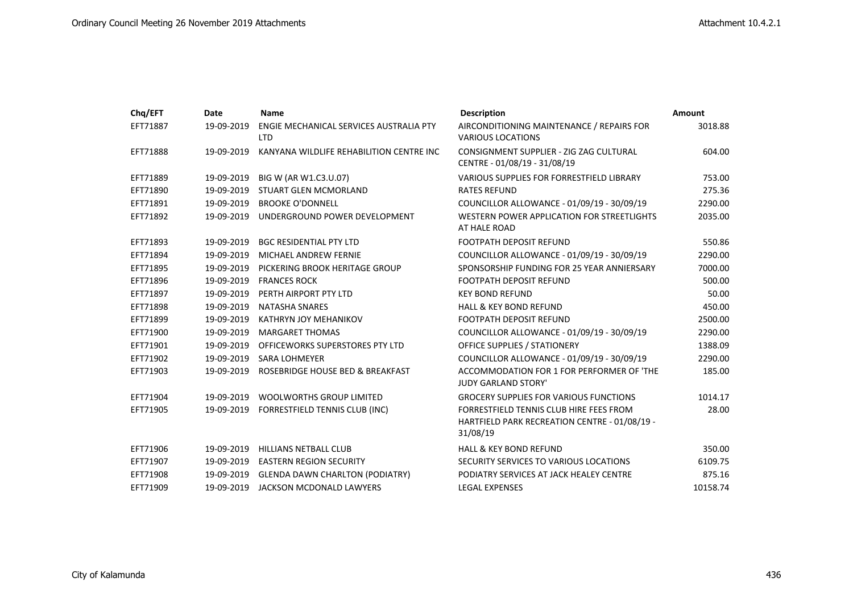| Chq/EFT  | Date       | <b>Name</b>                                           | <b>Description</b>                                                                                   | <b>Amount</b> |
|----------|------------|-------------------------------------------------------|------------------------------------------------------------------------------------------------------|---------------|
| EFT71887 | 19-09-2019 | ENGIE MECHANICAL SERVICES AUSTRALIA PTY<br><b>LTD</b> | AIRCONDITIONING MAINTENANCE / REPAIRS FOR<br><b>VARIOUS LOCATIONS</b>                                | 3018.88       |
| EFT71888 | 19-09-2019 | KANYANA WILDLIFE REHABILITION CENTRE INC              | CONSIGNMENT SUPPLIER - ZIG ZAG CULTURAL<br>CENTRE - 01/08/19 - 31/08/19                              | 604.00        |
| EFT71889 | 19-09-2019 | BIG W (AR W1.C3.U.07)                                 | <b>VARIOUS SUPPLIES FOR FORRESTFIELD LIBRARY</b>                                                     | 753.00        |
| EFT71890 | 19-09-2019 | STUART GLEN MCMORLAND                                 | <b>RATES REFUND</b>                                                                                  | 275.36        |
| EFT71891 | 19-09-2019 | <b>BROOKE O'DONNELL</b>                               | COUNCILLOR ALLOWANCE - 01/09/19 - 30/09/19                                                           | 2290.00       |
| EFT71892 | 19-09-2019 | UNDERGROUND POWER DEVELOPMENT                         | WESTERN POWER APPLICATION FOR STREETLIGHTS<br>AT HALE ROAD                                           | 2035.00       |
| EFT71893 | 19-09-2019 | <b>BGC RESIDENTIAL PTY LTD</b>                        | <b>FOOTPATH DEPOSIT REFUND</b>                                                                       | 550.86        |
| EFT71894 | 19-09-2019 | <b>MICHAEL ANDREW FERNIE</b>                          | COUNCILLOR ALLOWANCE - 01/09/19 - 30/09/19                                                           | 2290.00       |
| EFT71895 | 19-09-2019 | PICKERING BROOK HERITAGE GROUP                        | SPONSORSHIP FUNDING FOR 25 YEAR ANNIERSARY                                                           | 7000.00       |
| EFT71896 | 19-09-2019 | <b>FRANCES ROCK</b>                                   | <b>FOOTPATH DEPOSIT REFUND</b>                                                                       | 500.00        |
| EFT71897 | 19-09-2019 | PERTH AIRPORT PTY LTD                                 | <b>KEY BOND REFUND</b>                                                                               | 50.00         |
| EFT71898 | 19-09-2019 | <b>NATASHA SNARES</b>                                 | <b>HALL &amp; KEY BOND REFUND</b>                                                                    | 450.00        |
| EFT71899 | 19-09-2019 | <b>KATHRYN JOY MEHANIKOV</b>                          | FOOTPATH DEPOSIT REFUND                                                                              | 2500.00       |
| EFT71900 | 19-09-2019 | <b>MARGARET THOMAS</b>                                | COUNCILLOR ALLOWANCE - 01/09/19 - 30/09/19                                                           | 2290.00       |
| EFT71901 | 19-09-2019 | OFFICEWORKS SUPERSTORES PTY LTD                       | <b>OFFICE SUPPLIES / STATIONERY</b>                                                                  | 1388.09       |
| EFT71902 | 19-09-2019 | <b>SARA LOHMEYER</b>                                  | COUNCILLOR ALLOWANCE - 01/09/19 - 30/09/19                                                           | 2290.00       |
| EFT71903 | 19-09-2019 | ROSEBRIDGE HOUSE BED & BREAKFAST                      | ACCOMMODATION FOR 1 FOR PERFORMER OF 'THE<br><b>JUDY GARLAND STORY'</b>                              | 185.00        |
| EFT71904 | 19-09-2019 | <b>WOOLWORTHS GROUP LIMITED</b>                       | <b>GROCERY SUPPLIES FOR VARIOUS FUNCTIONS</b>                                                        | 1014.17       |
| EFT71905 | 19-09-2019 | FORRESTFIELD TENNIS CLUB (INC)                        | FORRESTFIELD TENNIS CLUB HIRE FEES FROM<br>HARTFIELD PARK RECREATION CENTRE - 01/08/19 -<br>31/08/19 | 28.00         |
| EFT71906 | 19-09-2019 | <b>HILLIANS NETBALL CLUB</b>                          | <b>HALL &amp; KEY BOND REFUND</b>                                                                    | 350.00        |
| EFT71907 | 19-09-2019 | <b>EASTERN REGION SECURITY</b>                        | SECURITY SERVICES TO VARIOUS LOCATIONS                                                               | 6109.75       |
| EFT71908 | 19-09-2019 | <b>GLENDA DAWN CHARLTON (PODIATRY)</b>                | PODIATRY SERVICES AT JACK HEALEY CENTRE                                                              | 875.16        |
| EFT71909 | 19-09-2019 | JACKSON MCDONALD LAWYERS                              | <b>LEGAL EXPENSES</b>                                                                                | 10158.74      |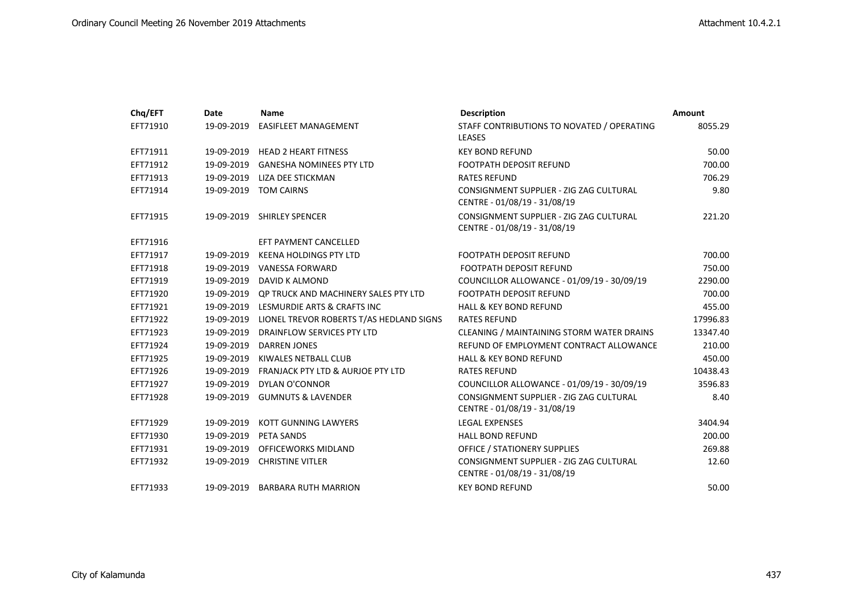| Chq/EFT  | <b>Date</b> | <b>Name</b>                                  | <b>Description</b>                                                      | <b>Amount</b> |
|----------|-------------|----------------------------------------------|-------------------------------------------------------------------------|---------------|
| EFT71910 | 19-09-2019  | <b>EASIFLEET MANAGEMENT</b>                  | STAFF CONTRIBUTIONS TO NOVATED / OPERATING<br><b>LEASES</b>             | 8055.29       |
| EFT71911 | 19-09-2019  | <b>HEAD 2 HEART FITNESS</b>                  | <b>KEY BOND REFUND</b>                                                  | 50.00         |
| EFT71912 | 19-09-2019  | <b>GANESHA NOMINEES PTY LTD</b>              | <b>FOOTPATH DEPOSIT REFUND</b>                                          | 700.00        |
| EFT71913 | 19-09-2019  | LIZA DEE STICKMAN                            | <b>RATES REFUND</b>                                                     | 706.29        |
| EFT71914 | 19-09-2019  | <b>TOM CAIRNS</b>                            | CONSIGNMENT SUPPLIER - ZIG ZAG CULTURAL<br>CENTRE - 01/08/19 - 31/08/19 | 9.80          |
| EFT71915 | 19-09-2019  | <b>SHIRLEY SPENCER</b>                       | CONSIGNMENT SUPPLIER - ZIG ZAG CULTURAL<br>CENTRE - 01/08/19 - 31/08/19 | 221.20        |
| EFT71916 |             | EFT PAYMENT CANCELLED                        |                                                                         |               |
| EFT71917 | 19-09-2019  | <b>KEENA HOLDINGS PTY LTD</b>                | <b>FOOTPATH DEPOSIT REFUND</b>                                          | 700.00        |
| EFT71918 | 19-09-2019  | VANESSA FORWARD                              | <b>FOOTPATH DEPOSIT REFUND</b>                                          | 750.00        |
| EFT71919 | 19-09-2019  | DAVID K ALMOND                               | COUNCILLOR ALLOWANCE - 01/09/19 - 30/09/19                              | 2290.00       |
| EFT71920 | 19-09-2019  | QP TRUCK AND MACHINERY SALES PTY LTD         | <b>FOOTPATH DEPOSIT REFUND</b>                                          | 700.00        |
| EFT71921 | 19-09-2019  | LESMURDIE ARTS & CRAFTS INC                  | <b>HALL &amp; KEY BOND REFUND</b>                                       | 455.00        |
| EFT71922 | 19-09-2019  | LIONEL TREVOR ROBERTS T/AS HEDLAND SIGNS     | <b>RATES REFUND</b>                                                     | 17996.83      |
| EFT71923 | 19-09-2019  | DRAINFLOW SERVICES PTY LTD                   | CLEANING / MAINTAINING STORM WATER DRAINS                               | 13347.40      |
| EFT71924 | 19-09-2019  | DARREN JONES                                 | REFUND OF EMPLOYMENT CONTRACT ALLOWANCE                                 | 210.00        |
| EFT71925 | 19-09-2019  | KIWALES NETBALL CLUB                         | <b>HALL &amp; KEY BOND REFUND</b>                                       | 450.00        |
| EFT71926 | 19-09-2019  | <b>FRANJACK PTY LTD &amp; AURJOE PTY LTD</b> | <b>RATES REFUND</b>                                                     | 10438.43      |
| EFT71927 | 19-09-2019  | DYLAN O'CONNOR                               | COUNCILLOR ALLOWANCE - 01/09/19 - 30/09/19                              | 3596.83       |
| EFT71928 | 19-09-2019  | <b>GUMNUTS &amp; LAVENDER</b>                | CONSIGNMENT SUPPLIER - ZIG ZAG CULTURAL<br>CENTRE - 01/08/19 - 31/08/19 | 8.40          |
| EFT71929 | 19-09-2019  | KOTT GUNNING LAWYERS                         | <b>LEGAL EXPENSES</b>                                                   | 3404.94       |
| EFT71930 | 19-09-2019  | PETA SANDS                                   | <b>HALL BOND REFUND</b>                                                 | 200.00        |
| EFT71931 | 19-09-2019  | <b>OFFICEWORKS MIDLAND</b>                   | <b>OFFICE / STATIONERY SUPPLIES</b>                                     | 269.88        |
| EFT71932 | 19-09-2019  | <b>CHRISTINE VITLER</b>                      | CONSIGNMENT SUPPLIER - ZIG ZAG CULTURAL<br>CENTRE - 01/08/19 - 31/08/19 | 12.60         |
| EFT71933 | 19-09-2019  | <b>BARBARA RUTH MARRION</b>                  | <b>KEY BOND REFUND</b>                                                  | 50.00         |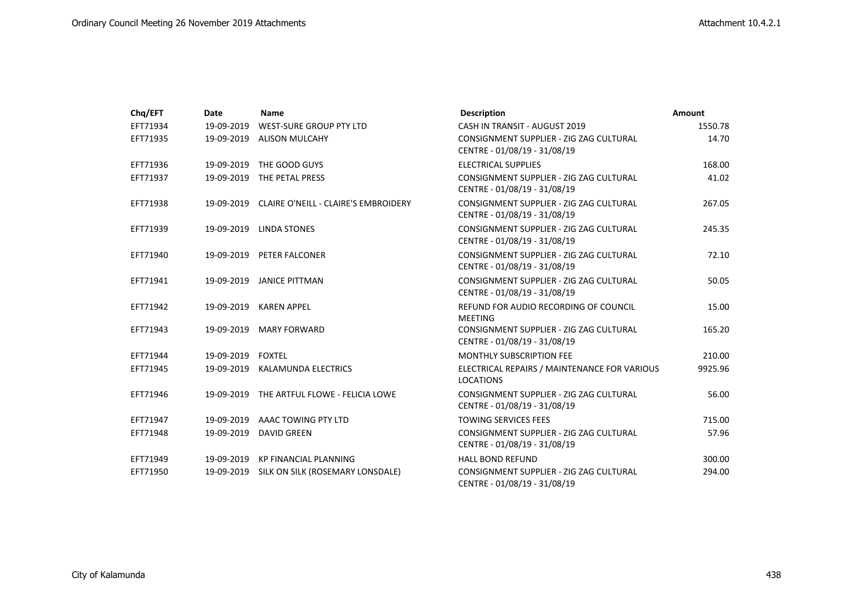| Chq/EFT  | Date              | Name                                            | <b>Description</b>                                                      | Amount  |
|----------|-------------------|-------------------------------------------------|-------------------------------------------------------------------------|---------|
| EFT71934 | 19-09-2019        | WEST-SURE GROUP PTY LTD                         | CASH IN TRANSIT - AUGUST 2019                                           | 1550.78 |
| EFT71935 | 19-09-2019        | ALISON MULCAHY                                  | CONSIGNMENT SUPPLIER - ZIG ZAG CULTURAL<br>CENTRE - 01/08/19 - 31/08/19 | 14.70   |
| EFT71936 | 19-09-2019        | THE GOOD GUYS                                   | <b>ELECTRICAL SUPPLIES</b>                                              | 168.00  |
| EFT71937 | 19-09-2019        | THE PETAL PRESS                                 | CONSIGNMENT SUPPLIER - ZIG ZAG CULTURAL<br>CENTRE - 01/08/19 - 31/08/19 | 41.02   |
| EFT71938 |                   | 19-09-2019 CLAIRE O'NEILL - CLAIRE'S EMBROIDERY | CONSIGNMENT SUPPLIER - ZIG ZAG CULTURAL<br>CENTRE - 01/08/19 - 31/08/19 | 267.05  |
| EFT71939 |                   | 19-09-2019 LINDA STONES                         | CONSIGNMENT SUPPLIER - ZIG ZAG CULTURAL<br>CENTRE - 01/08/19 - 31/08/19 | 245.35  |
| EFT71940 | 19-09-2019        | PETER FALCONER                                  | CONSIGNMENT SUPPLIER - ZIG ZAG CULTURAL<br>CENTRE - 01/08/19 - 31/08/19 | 72.10   |
| EFT71941 |                   | 19-09-2019 JANICE PITTMAN                       | CONSIGNMENT SUPPLIER - ZIG ZAG CULTURAL<br>CENTRE - 01/08/19 - 31/08/19 | 50.05   |
| EFT71942 | 19-09-2019        | <b>KAREN APPEL</b>                              | REFUND FOR AUDIO RECORDING OF COUNCIL<br><b>MEETING</b>                 | 15.00   |
| EFT71943 | 19-09-2019        | <b>MARY FORWARD</b>                             | CONSIGNMENT SUPPLIER - ZIG ZAG CULTURAL<br>CENTRE - 01/08/19 - 31/08/19 | 165.20  |
| EFT71944 | 19-09-2019 FOXTEL |                                                 | <b>MONTHLY SUBSCRIPTION FEE</b>                                         | 210.00  |
| EFT71945 |                   | 19-09-2019 KALAMUNDA ELECTRICS                  | ELECTRICAL REPAIRS / MAINTENANCE FOR VARIOUS<br><b>LOCATIONS</b>        | 9925.96 |
| EFT71946 |                   | 19-09-2019 THE ARTFUL FLOWE - FELICIA LOWE      | CONSIGNMENT SUPPLIER - ZIG ZAG CULTURAL<br>CENTRE - 01/08/19 - 31/08/19 | 56.00   |
| EFT71947 |                   | 19-09-2019 AAAC TOWING PTY LTD                  | <b>TOWING SERVICES FEES</b>                                             | 715.00  |
| EFT71948 | 19-09-2019        | DAVID GREEN                                     | CONSIGNMENT SUPPLIER - ZIG ZAG CULTURAL<br>CENTRE - 01/08/19 - 31/08/19 | 57.96   |
| EFT71949 | 19-09-2019        | KP FINANCIAL PLANNING                           | <b>HALL BOND REFUND</b>                                                 | 300.00  |
| EFT71950 | 19-09-2019        | SILK ON SILK (ROSEMARY LONSDALE)                | CONSIGNMENT SUPPLIER - ZIG ZAG CULTURAL<br>CENTRE - 01/08/19 - 31/08/19 | 294.00  |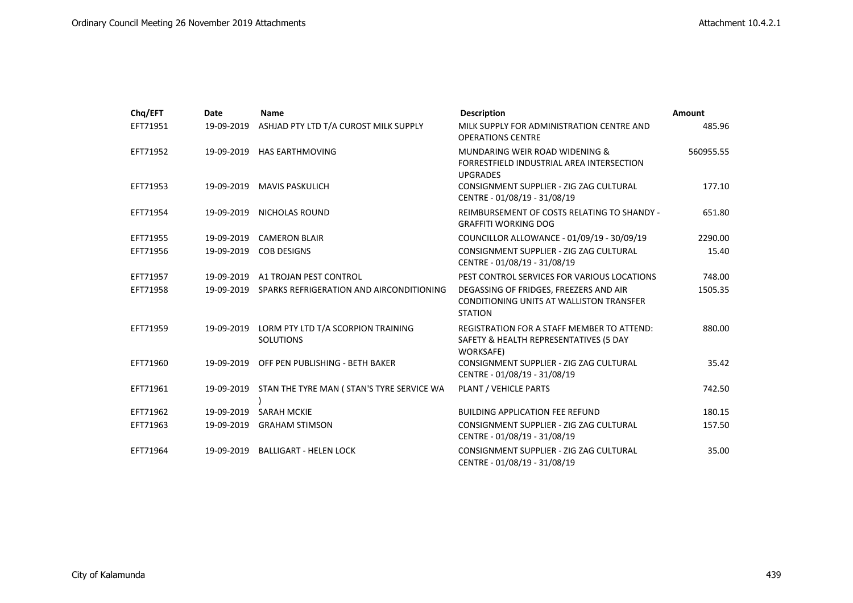| Chq/EFT  | <b>Date</b> | <b>Name</b>                                            | <b>Description</b>                                                                                          | <b>Amount</b> |
|----------|-------------|--------------------------------------------------------|-------------------------------------------------------------------------------------------------------------|---------------|
| EFT71951 | 19-09-2019  | ASHJAD PTY LTD T/A CUROST MILK SUPPLY                  | MILK SUPPLY FOR ADMINISTRATION CENTRE AND<br><b>OPERATIONS CENTRE</b>                                       | 485.96        |
| EFT71952 | 19-09-2019  | <b>HAS EARTHMOVING</b>                                 | MUNDARING WEIR ROAD WIDENING &<br>FORRESTFIELD INDUSTRIAL AREA INTERSECTION<br><b>UPGRADES</b>              | 560955.55     |
| EFT71953 | 19-09-2019  | MAVIS PASKULICH                                        | CONSIGNMENT SUPPLIER - ZIG ZAG CULTURAL<br>CENTRE - 01/08/19 - 31/08/19                                     | 177.10        |
| EFT71954 |             | 19-09-2019 NICHOLAS ROUND                              | REIMBURSEMENT OF COSTS RELATING TO SHANDY -<br><b>GRAFFITI WORKING DOG</b>                                  | 651.80        |
| EFT71955 | 19-09-2019  | <b>CAMERON BLAIR</b>                                   | COUNCILLOR ALLOWANCE - 01/09/19 - 30/09/19                                                                  | 2290.00       |
| EFT71956 | 19-09-2019  | <b>COB DESIGNS</b>                                     | CONSIGNMENT SUPPLIER - ZIG ZAG CULTURAL<br>CENTRE - 01/08/19 - 31/08/19                                     | 15.40         |
| EFT71957 | 19-09-2019  | A1 TROJAN PEST CONTROL                                 | PEST CONTROL SERVICES FOR VARIOUS LOCATIONS                                                                 | 748.00        |
| EFT71958 | 19-09-2019  | SPARKS REFRIGERATION AND AIRCONDITIONING               | DEGASSING OF FRIDGES, FREEZERS AND AIR<br><b>CONDITIONING UNITS AT WALLISTON TRANSFER</b><br><b>STATION</b> | 1505.35       |
| EFT71959 | 19-09-2019  | LORM PTY LTD T/A SCORPION TRAINING<br><b>SOLUTIONS</b> | <b>REGISTRATION FOR A STAFF MEMBER TO ATTEND:</b><br>SAFETY & HEALTH REPRESENTATIVES (5 DAY<br>WORKSAFE)    | 880.00        |
| EFT71960 | 19-09-2019  | OFF PEN PUBLISHING - BETH BAKER                        | CONSIGNMENT SUPPLIER - ZIG ZAG CULTURAL<br>CENTRE - 01/08/19 - 31/08/19                                     | 35.42         |
| EFT71961 |             | 19-09-2019 STAN THE TYRE MAN (STAN'S TYRE SERVICE WA   | PLANT / VEHICLE PARTS                                                                                       | 742.50        |
| EFT71962 | 19-09-2019  | <b>SARAH MCKIE</b>                                     | <b>BUILDING APPLICATION FEE REFUND</b>                                                                      | 180.15        |
| EFT71963 | 19-09-2019  | <b>GRAHAM STIMSON</b>                                  | CONSIGNMENT SUPPLIER - ZIG ZAG CULTURAL<br>CENTRE - 01/08/19 - 31/08/19                                     | 157.50        |
| EFT71964 | 19-09-2019  | <b>BALLIGART - HELEN LOCK</b>                          | CONSIGNMENT SUPPLIER - ZIG ZAG CULTURAL<br>CENTRE - 01/08/19 - 31/08/19                                     | 35.00         |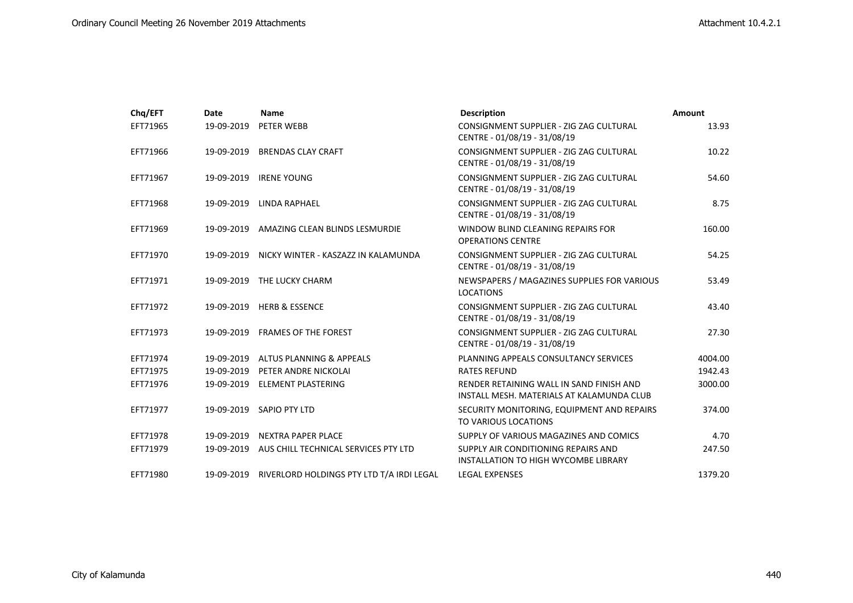| Chq/EFT  | Date       | Name                                      | <b>Description</b>                                                                    | Amount  |
|----------|------------|-------------------------------------------|---------------------------------------------------------------------------------------|---------|
| EFT71965 | 19-09-2019 | PETER WEBB                                | CONSIGNMENT SUPPLIER - ZIG ZAG CULTURAL<br>CENTRE - 01/08/19 - 31/08/19               | 13.93   |
| EFT71966 | 19-09-2019 | <b>BRENDAS CLAY CRAFT</b>                 | CONSIGNMENT SUPPLIER - ZIG ZAG CULTURAL<br>CENTRE - 01/08/19 - 31/08/19               | 10.22   |
| EFT71967 | 19-09-2019 | <b>IRENE YOUNG</b>                        | CONSIGNMENT SUPPLIER - ZIG ZAG CULTURAL<br>CENTRE - 01/08/19 - 31/08/19               | 54.60   |
| EFT71968 | 19-09-2019 | LINDA RAPHAEL                             | CONSIGNMENT SUPPLIER - ZIG ZAG CULTURAL<br>CENTRE - 01/08/19 - 31/08/19               | 8.75    |
| EFT71969 | 19-09-2019 | AMAZING CLEAN BLINDS LESMURDIE            | WINDOW BLIND CLEANING REPAIRS FOR<br><b>OPERATIONS CENTRE</b>                         | 160.00  |
| EFT71970 | 19-09-2019 | NICKY WINTER - KASZAZZ IN KALAMUNDA       | CONSIGNMENT SUPPLIER - ZIG ZAG CULTURAL<br>CENTRE - 01/08/19 - 31/08/19               | 54.25   |
| EFT71971 |            | 19-09-2019 THE LUCKY CHARM                | NEWSPAPERS / MAGAZINES SUPPLIES FOR VARIOUS<br><b>LOCATIONS</b>                       | 53.49   |
| EFT71972 | 19-09-2019 | <b>HERB &amp; ESSENCE</b>                 | CONSIGNMENT SUPPLIER - ZIG ZAG CULTURAL<br>CENTRE - 01/08/19 - 31/08/19               | 43.40   |
| EFT71973 |            | 19-09-2019 FRAMES OF THE FOREST           | CONSIGNMENT SUPPLIER - ZIG ZAG CULTURAL<br>CENTRE - 01/08/19 - 31/08/19               | 27.30   |
| EFT71974 | 19-09-2019 | ALTUS PLANNING & APPEALS                  | PLANNING APPEALS CONSULTANCY SERVICES                                                 | 4004.00 |
| EFT71975 | 19-09-2019 | PETER ANDRE NICKOLAI                      | <b>RATES REFUND</b>                                                                   | 1942.43 |
| EFT71976 | 19-09-2019 | <b>ELEMENT PLASTERING</b>                 | RENDER RETAINING WALL IN SAND FINISH AND<br>INSTALL MESH. MATERIALS AT KALAMUNDA CLUB | 3000.00 |
| EFT71977 |            | 19-09-2019 SAPIO PTY LTD                  | SECURITY MONITORING, EQUIPMENT AND REPAIRS<br>TO VARIOUS LOCATIONS                    | 374.00  |
| EFT71978 | 19-09-2019 | NEXTRA PAPER PLACE                        | SUPPLY OF VARIOUS MAGAZINES AND COMICS                                                | 4.70    |
| EFT71979 | 19-09-2019 | AUS CHILL TECHNICAL SERVICES PTY LTD      | SUPPLY AIR CONDITIONING REPAIRS AND<br>INSTALLATION TO HIGH WYCOMBE LIBRARY           | 247.50  |
| EFT71980 | 19-09-2019 | RIVERLORD HOLDINGS PTY LTD T/A IRDI LEGAL | <b>LEGAL EXPENSES</b>                                                                 | 1379.20 |
|          |            |                                           |                                                                                       |         |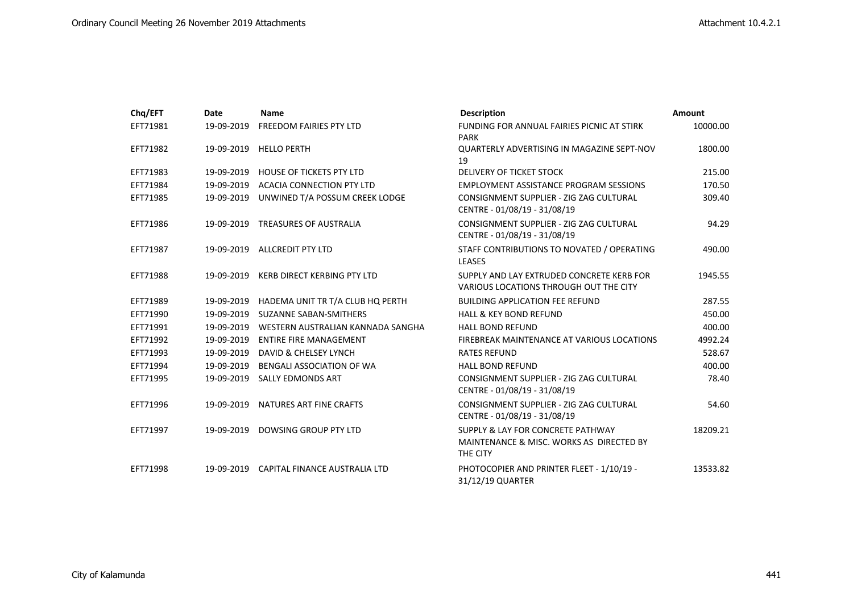| Chq/EFT  | Date       | <b>Name</b>                              | <b>Description</b>                                                                        | Amount   |
|----------|------------|------------------------------------------|-------------------------------------------------------------------------------------------|----------|
| EFT71981 | 19-09-2019 | FREEDOM FAIRIES PTY LTD                  | FUNDING FOR ANNUAL FAIRIES PICNIC AT STIRK<br><b>PARK</b>                                 | 10000.00 |
| EFT71982 | 19-09-2019 | <b>HELLO PERTH</b>                       | QUARTERLY ADVERTISING IN MAGAZINE SEPT-NOV<br>19                                          | 1800.00  |
| EFT71983 | 19-09-2019 | <b>HOUSE OF TICKETS PTY LTD</b>          | DELIVERY OF TICKET STOCK                                                                  | 215.00   |
| EFT71984 | 19-09-2019 | ACACIA CONNECTION PTY LTD                | <b>EMPLOYMENT ASSISTANCE PROGRAM SESSIONS</b>                                             | 170.50   |
| EFT71985 | 19-09-2019 | UNWINED T/A POSSUM CREEK LODGE           | CONSIGNMENT SUPPLIER - ZIG ZAG CULTURAL<br>CENTRE - 01/08/19 - 31/08/19                   | 309.40   |
| EFT71986 | 19-09-2019 | <b>TREASURES OF AUSTRALIA</b>            | CONSIGNMENT SUPPLIER - ZIG ZAG CULTURAL<br>CENTRE - 01/08/19 - 31/08/19                   | 94.29    |
| EFT71987 |            | 19-09-2019 ALLCREDIT PTY LTD             | STAFF CONTRIBUTIONS TO NOVATED / OPERATING<br><b>LEASES</b>                               | 490.00   |
| EFT71988 |            | 19-09-2019 KERB DIRECT KERBING PTY LTD   | SUPPLY AND LAY EXTRUDED CONCRETE KERB FOR<br>VARIOUS LOCATIONS THROUGH OUT THE CITY       | 1945.55  |
| EFT71989 | 19-09-2019 | HADEMA UNIT TR T/A CLUB HQ PERTH         | <b>BUILDING APPLICATION FEE REFUND</b>                                                    | 287.55   |
| EFT71990 | 19-09-2019 | <b>SUZANNE SABAN-SMITHERS</b>            | <b>HALL &amp; KEY BOND REFUND</b>                                                         | 450.00   |
| EFT71991 | 19-09-2019 | WESTERN AUSTRALIAN KANNADA SANGHA        | <b>HALL BOND REFUND</b>                                                                   | 400.00   |
| EFT71992 | 19-09-2019 | <b>ENTIRE FIRE MANAGEMENT</b>            | FIREBREAK MAINTENANCE AT VARIOUS LOCATIONS                                                | 4992.24  |
| EFT71993 | 19-09-2019 | DAVID & CHELSEY LYNCH                    | <b>RATES REFUND</b>                                                                       | 528.67   |
| EFT71994 | 19-09-2019 | BENGALI ASSOCIATION OF WA                | <b>HALL BOND REFUND</b>                                                                   | 400.00   |
| EFT71995 | 19-09-2019 | <b>SALLY EDMONDS ART</b>                 | CONSIGNMENT SUPPLIER - ZIG ZAG CULTURAL<br>CENTRE - 01/08/19 - 31/08/19                   | 78.40    |
| EFT71996 | 19-09-2019 | NATURES ART FINE CRAFTS                  | CONSIGNMENT SUPPLIER - ZIG ZAG CULTURAL<br>CENTRE - 01/08/19 - 31/08/19                   | 54.60    |
| EFT71997 | 19-09-2019 | DOWSING GROUP PTY LTD                    | SUPPLY & LAY FOR CONCRETE PATHWAY<br>MAINTENANCE & MISC. WORKS AS DIRECTED BY<br>THE CITY | 18209.21 |
| EFT71998 |            | 19-09-2019 CAPITAL FINANCE AUSTRALIA LTD | PHOTOCOPIER AND PRINTER FLEET - 1/10/19 -<br>31/12/19 QUARTER                             | 13533.82 |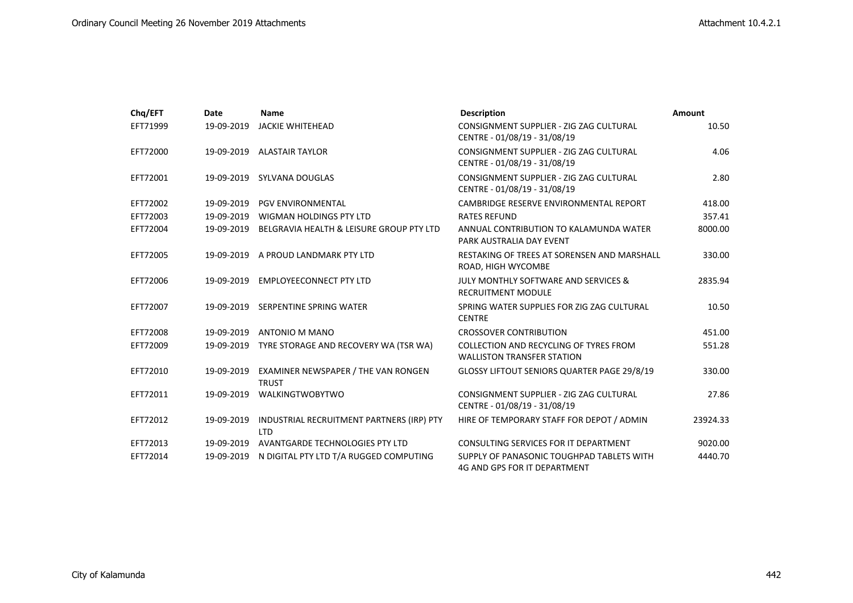| Chq/EFT  | Date       | <b>Name</b>                                             | <b>Description</b>                                                               | Amount   |
|----------|------------|---------------------------------------------------------|----------------------------------------------------------------------------------|----------|
| EFT71999 | 19-09-2019 | <b>JACKIE WHITEHEAD</b>                                 | CONSIGNMENT SUPPLIER - ZIG ZAG CULTURAL<br>CENTRE - 01/08/19 - 31/08/19          | 10.50    |
| EFT72000 | 19-09-2019 | <b>ALASTAIR TAYLOR</b>                                  | CONSIGNMENT SUPPLIER - ZIG ZAG CULTURAL<br>CENTRE - 01/08/19 - 31/08/19          | 4.06     |
| EFT72001 |            | 19-09-2019 SYLVANA DOUGLAS                              | CONSIGNMENT SUPPLIER - ZIG ZAG CULTURAL<br>CENTRE - 01/08/19 - 31/08/19          | 2.80     |
| EFT72002 | 19-09-2019 | <b>PGV ENVIRONMENTAL</b>                                | CAMBRIDGE RESERVE ENVIRONMENTAL REPORT                                           | 418.00   |
| EFT72003 | 19-09-2019 | WIGMAN HOLDINGS PTY LTD                                 | <b>RATES REFUND</b>                                                              | 357.41   |
| EFT72004 | 19-09-2019 | BELGRAVIA HEALTH & LEISURE GROUP PTY LTD                | ANNUAL CONTRIBUTION TO KALAMUNDA WATER<br>PARK AUSTRALIA DAY EVENT               | 8000.00  |
| EFT72005 | 19-09-2019 | A PROUD LANDMARK PTY LTD                                | RESTAKING OF TREES AT SORENSEN AND MARSHALL<br>ROAD, HIGH WYCOMBE                | 330.00   |
| EFT72006 | 19-09-2019 | <b>EMPLOYEECONNECT PTY LTD</b>                          | <b>JULY MONTHLY SOFTWARE AND SERVICES &amp;</b><br><b>RECRUITMENT MODULE</b>     | 2835.94  |
| EFT72007 | 19-09-2019 | SERPENTINE SPRING WATER                                 | SPRING WATER SUPPLIES FOR ZIG ZAG CULTURAL<br><b>CENTRE</b>                      | 10.50    |
| EFT72008 | 19-09-2019 | ANTONIO M MANO                                          | <b>CROSSOVER CONTRIBUTION</b>                                                    | 451.00   |
| EFT72009 | 19-09-2019 | TYRE STORAGE AND RECOVERY WA (TSR WA)                   | COLLECTION AND RECYCLING OF TYRES FROM<br><b>WALLISTON TRANSFER STATION</b>      | 551.28   |
| EFT72010 | 19-09-2019 | EXAMINER NEWSPAPER / THE VAN RONGEN<br><b>TRUST</b>     | GLOSSY LIFTOUT SENIORS QUARTER PAGE 29/8/19                                      | 330.00   |
| EFT72011 | 19-09-2019 | WALKINGTWOBYTWO                                         | CONSIGNMENT SUPPLIER - ZIG ZAG CULTURAL<br>CENTRE - 01/08/19 - 31/08/19          | 27.86    |
| EFT72012 | 19-09-2019 | INDUSTRIAL RECRUITMENT PARTNERS (IRP) PTY<br><b>LTD</b> | HIRE OF TEMPORARY STAFF FOR DEPOT / ADMIN                                        | 23924.33 |
| EFT72013 | 19-09-2019 | AVANTGARDE TECHNOLOGIES PTY LTD                         | CONSULTING SERVICES FOR IT DEPARTMENT                                            | 9020.00  |
| EFT72014 | 19-09-2019 | N DIGITAL PTY LTD T/A RUGGED COMPUTING                  | SUPPLY OF PANASONIC TOUGHPAD TABLETS WITH<br><b>4G AND GPS FOR IT DEPARTMENT</b> | 4440.70  |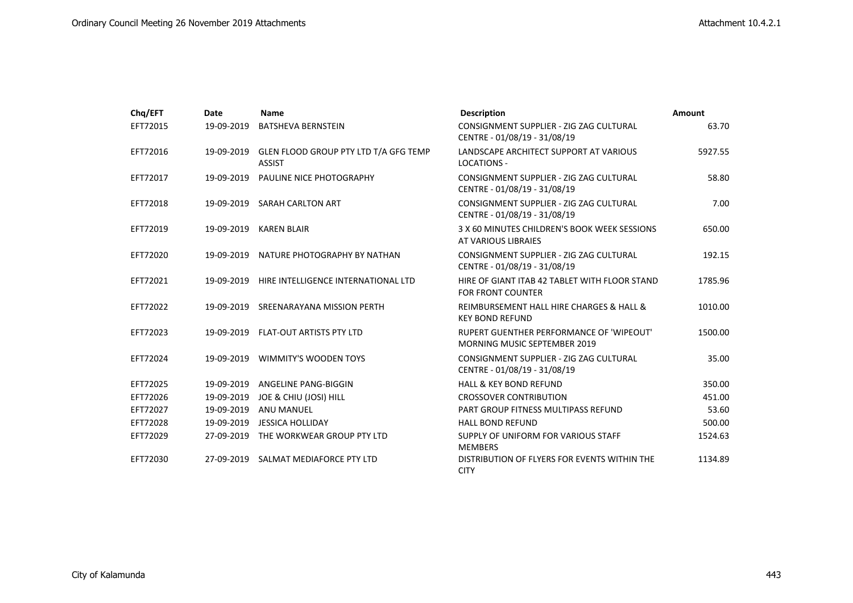| Chq/EFT  | Date       | <b>Name</b>                                            | <b>Description</b>                                                                     | Amount  |
|----------|------------|--------------------------------------------------------|----------------------------------------------------------------------------------------|---------|
| EFT72015 | 19-09-2019 | <b>BATSHEVA BERNSTEIN</b>                              | CONSIGNMENT SUPPLIER - ZIG ZAG CULTURAL<br>CENTRE - 01/08/19 - 31/08/19                | 63.70   |
| EFT72016 | 19-09-2019 | GLEN FLOOD GROUP PTY LTD T/A GFG TEMP<br><b>ASSIST</b> | LANDSCAPE ARCHITECT SUPPORT AT VARIOUS<br><b>LOCATIONS -</b>                           | 5927.55 |
| EFT72017 | 19-09-2019 | <b>PAULINE NICE PHOTOGRAPHY</b>                        | CONSIGNMENT SUPPLIER - ZIG ZAG CULTURAL<br>CENTRE - 01/08/19 - 31/08/19                | 58.80   |
| EFT72018 | 19-09-2019 | <b>SARAH CARLTON ART</b>                               | CONSIGNMENT SUPPLIER - ZIG ZAG CULTURAL<br>CENTRE - 01/08/19 - 31/08/19                | 7.00    |
| EFT72019 | 19-09-2019 | <b>KAREN BLAIR</b>                                     | 3 X 60 MINUTES CHILDREN'S BOOK WEEK SESSIONS<br>AT VARIOUS LIBRAIES                    | 650.00  |
| EFT72020 | 19-09-2019 | NATURE PHOTOGRAPHY BY NATHAN                           | CONSIGNMENT SUPPLIER - ZIG ZAG CULTURAL<br>CENTRE - 01/08/19 - 31/08/19                | 192.15  |
| EFT72021 | 19-09-2019 | HIRE INTELLIGENCE INTERNATIONAL LTD                    | HIRE OF GIANT ITAB 42 TABLET WITH FLOOR STAND<br><b>FOR FRONT COUNTER</b>              | 1785.96 |
| EFT72022 | 19-09-2019 | SREENARAYANA MISSION PERTH                             | REIMBURSEMENT HALL HIRE CHARGES & HALL &<br><b>KEY BOND REFUND</b>                     | 1010.00 |
| EFT72023 |            | 19-09-2019 FLAT-OUT ARTISTS PTY LTD                    | <b>RUPERT GUENTHER PERFORMANCE OF 'WIPEOUT'</b><br><b>MORNING MUSIC SEPTEMBER 2019</b> | 1500.00 |
| EFT72024 | 19-09-2019 | <b>WIMMITY'S WOODEN TOYS</b>                           | CONSIGNMENT SUPPLIER - ZIG ZAG CULTURAL<br>CENTRE - 01/08/19 - 31/08/19                | 35.00   |
| EFT72025 | 19-09-2019 | ANGELINE PANG-BIGGIN                                   | <b>HALL &amp; KEY BOND REFUND</b>                                                      | 350.00  |
| EFT72026 | 19-09-2019 | JOE & CHIU (JOSI) HILL                                 | <b>CROSSOVER CONTRIBUTION</b>                                                          | 451.00  |
| EFT72027 | 19-09-2019 | ANU MANUEL                                             | PART GROUP FITNESS MULTIPASS REFUND                                                    | 53.60   |
| EFT72028 | 19-09-2019 | <b>JESSICA HOLLIDAY</b>                                | <b>HALL BOND REFUND</b>                                                                | 500.00  |
| EFT72029 | 27-09-2019 | THE WORKWEAR GROUP PTY LTD                             | SUPPLY OF UNIFORM FOR VARIOUS STAFF<br><b>MEMBERS</b>                                  | 1524.63 |
| EFT72030 | 27-09-2019 | SALMAT MEDIAFORCE PTY LTD                              | DISTRIBUTION OF FLYERS FOR EVENTS WITHIN THE<br><b>CITY</b>                            | 1134.89 |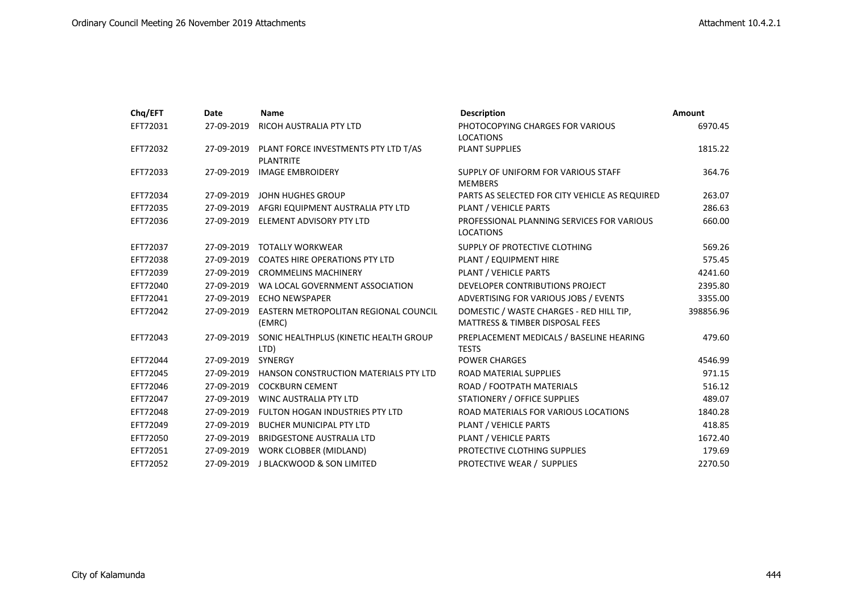| Chq/EFT  | Date       | <b>Name</b>                                              | <b>Description</b>                                                                     | Amount    |
|----------|------------|----------------------------------------------------------|----------------------------------------------------------------------------------------|-----------|
| EFT72031 | 27-09-2019 | RICOH AUSTRALIA PTY LTD                                  | PHOTOCOPYING CHARGES FOR VARIOUS                                                       | 6970.45   |
| EFT72032 | 27-09-2019 | PLANT FORCE INVESTMENTS PTY LTD T/AS<br><b>PLANTRITE</b> | <b>LOCATIONS</b><br>PLANT SUPPLIES                                                     | 1815.22   |
| EFT72033 | 27-09-2019 | <b>IMAGE EMBROIDERY</b>                                  | SUPPLY OF UNIFORM FOR VARIOUS STAFF<br><b>MEMBERS</b>                                  | 364.76    |
| EFT72034 | 27-09-2019 | JOHN HUGHES GROUP                                        | PARTS AS SELECTED FOR CITY VEHICLE AS REQUIRED                                         | 263.07    |
| EFT72035 | 27-09-2019 | AFGRI EQUIPMENT AUSTRALIA PTY LTD                        | PLANT / VEHICLE PARTS                                                                  | 286.63    |
| EFT72036 | 27-09-2019 | ELEMENT ADVISORY PTY LTD                                 | PROFESSIONAL PLANNING SERVICES FOR VARIOUS<br><b>LOCATIONS</b>                         | 660.00    |
| EFT72037 | 27-09-2019 | <b>TOTALLY WORKWEAR</b>                                  | SUPPLY OF PROTECTIVE CLOTHING                                                          | 569.26    |
| EFT72038 | 27-09-2019 | <b>COATES HIRE OPERATIONS PTY LTD</b>                    | PLANT / EQUIPMENT HIRE                                                                 | 575.45    |
| EFT72039 | 27-09-2019 | <b>CROMMELINS MACHINERY</b>                              | PLANT / VEHICLE PARTS                                                                  | 4241.60   |
| EFT72040 | 27-09-2019 | WA LOCAL GOVERNMENT ASSOCIATION                          | DEVELOPER CONTRIBUTIONS PROJECT                                                        | 2395.80   |
| EFT72041 | 27-09-2019 | <b>ECHO NEWSPAPER</b>                                    | ADVERTISING FOR VARIOUS JOBS / EVENTS                                                  | 3355.00   |
| EFT72042 | 27-09-2019 | EASTERN METROPOLITAN REGIONAL COUNCIL<br>(EMRC)          | DOMESTIC / WASTE CHARGES - RED HILL TIP,<br><b>MATTRESS &amp; TIMBER DISPOSAL FEES</b> | 398856.96 |
| EFT72043 | 27-09-2019 | SONIC HEALTHPLUS (KINETIC HEALTH GROUP<br>LTD)           | PREPLACEMENT MEDICALS / BASELINE HEARING<br><b>TESTS</b>                               | 479.60    |
| EFT72044 | 27-09-2019 | <b>SYNERGY</b>                                           | <b>POWER CHARGES</b>                                                                   | 4546.99   |
| EFT72045 | 27-09-2019 | HANSON CONSTRUCTION MATERIALS PTY LTD                    | ROAD MATERIAL SUPPLIES                                                                 | 971.15    |
| EFT72046 | 27-09-2019 | <b>COCKBURN CEMENT</b>                                   | ROAD / FOOTPATH MATERIALS                                                              | 516.12    |
| EFT72047 |            | 27-09-2019 WINC AUSTRALIA PTY LTD                        | STATIONERY / OFFICE SUPPLIES                                                           | 489.07    |
| EFT72048 | 27-09-2019 | FULTON HOGAN INDUSTRIES PTY LTD                          | ROAD MATERIALS FOR VARIOUS LOCATIONS                                                   | 1840.28   |
| EFT72049 | 27-09-2019 | <b>BUCHER MUNICIPAL PTY LTD</b>                          | PLANT / VEHICLE PARTS                                                                  | 418.85    |
| EFT72050 | 27-09-2019 | <b>BRIDGESTONE AUSTRALIA LTD</b>                         | PLANT / VEHICLE PARTS                                                                  | 1672.40   |
| EFT72051 | 27-09-2019 | WORK CLOBBER (MIDLAND)                                   | PROTECTIVE CLOTHING SUPPLIES                                                           | 179.69    |
| EFT72052 | 27-09-2019 | <b>J BLACKWOOD &amp; SON LIMITED</b>                     | PROTECTIVE WEAR / SUPPLIES                                                             | 2270.50   |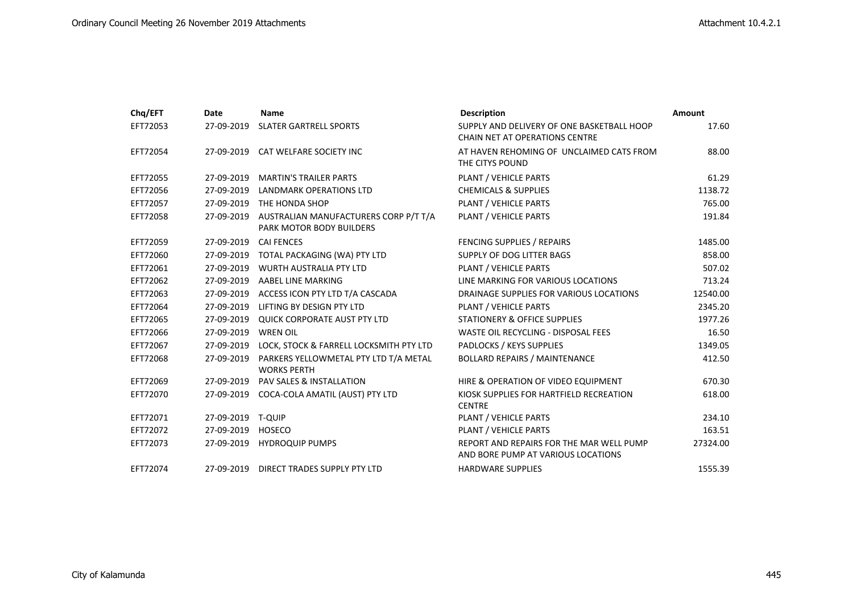| Chq/EFT  | Date              | <b>Name</b>                                                       | <b>Description</b>                                                                  | Amount   |
|----------|-------------------|-------------------------------------------------------------------|-------------------------------------------------------------------------------------|----------|
| EFT72053 |                   | 27-09-2019 SLATER GARTRELL SPORTS                                 | SUPPLY AND DELIVERY OF ONE BASKETBALL HOOP<br><b>CHAIN NET AT OPERATIONS CENTRE</b> | 17.60    |
| EFT72054 |                   | 27-09-2019 CAT WELFARE SOCIETY INC                                | AT HAVEN REHOMING OF UNCLAIMED CATS FROM<br>THE CITYS POUND                         | 88.00    |
| EFT72055 |                   | 27-09-2019 MARTIN'S TRAILER PARTS                                 | PLANT / VEHICLE PARTS                                                               | 61.29    |
| EFT72056 | 27-09-2019        | LANDMARK OPERATIONS LTD                                           | <b>CHEMICALS &amp; SUPPLIES</b>                                                     | 1138.72  |
| EFT72057 | 27-09-2019        | THE HONDA SHOP                                                    | PLANT / VEHICLE PARTS                                                               | 765.00   |
| EFT72058 | 27-09-2019        | AUSTRALIAN MANUFACTURERS CORP P/T T/A<br>PARK MOTOR BODY BUILDERS | PLANT / VEHICLE PARTS                                                               | 191.84   |
| EFT72059 | 27-09-2019        | <b>CAI FENCES</b>                                                 | FENCING SUPPLIES / REPAIRS                                                          | 1485.00  |
| EFT72060 | 27-09-2019        | TOTAL PACKAGING (WA) PTY LTD                                      | SUPPLY OF DOG LITTER BAGS                                                           | 858.00   |
| EFT72061 | 27-09-2019        | <b>WURTH AUSTRALIA PTY LTD</b>                                    | PLANT / VEHICLE PARTS                                                               | 507.02   |
| EFT72062 |                   | 27-09-2019 AABEL LINE MARKING                                     | LINE MARKING FOR VARIOUS LOCATIONS                                                  | 713.24   |
| EFT72063 |                   | 27-09-2019 ACCESS ICON PTY LTD T/A CASCADA                        | DRAINAGE SUPPLIES FOR VARIOUS LOCATIONS                                             | 12540.00 |
| EFT72064 | 27-09-2019        | LIFTING BY DESIGN PTY LTD                                         | PLANT / VEHICLE PARTS                                                               | 2345.20  |
| EFT72065 |                   | 27-09-2019 QUICK CORPORATE AUST PTY LTD                           | STATIONERY & OFFICE SUPPLIES                                                        | 1977.26  |
| EFT72066 | 27-09-2019        | <b>WREN OIL</b>                                                   | WASTE OIL RECYCLING - DISPOSAL FEES                                                 | 16.50    |
| EFT72067 | 27-09-2019        | LOCK, STOCK & FARRELL LOCKSMITH PTY LTD                           | PADLOCKS / KEYS SUPPLIES                                                            | 1349.05  |
| EFT72068 | 27-09-2019        | PARKERS YELLOWMETAL PTY LTD T/A METAL<br><b>WORKS PERTH</b>       | <b>BOLLARD REPAIRS / MAINTENANCE</b>                                                | 412.50   |
| EFT72069 | 27-09-2019        | PAV SALES & INSTALLATION                                          | HIRE & OPERATION OF VIDEO EQUIPMENT                                                 | 670.30   |
| EFT72070 | 27-09-2019        | COCA-COLA AMATIL (AUST) PTY LTD                                   | KIOSK SUPPLIES FOR HARTFIELD RECREATION<br><b>CENTRE</b>                            | 618.00   |
| EFT72071 | 27-09-2019 T-QUIP |                                                                   | PLANT / VEHICLE PARTS                                                               | 234.10   |
| EFT72072 | 27-09-2019        | HOSECO                                                            | PLANT / VEHICLE PARTS                                                               | 163.51   |
| EFT72073 |                   | 27-09-2019 HYDROQUIP PUMPS                                        | REPORT AND REPAIRS FOR THE MAR WELL PUMP<br>AND BORE PUMP AT VARIOUS LOCATIONS      | 27324.00 |
| EFT72074 | 27-09-2019        | DIRECT TRADES SUPPLY PTY LTD                                      | <b>HARDWARE SUPPLIES</b>                                                            | 1555.39  |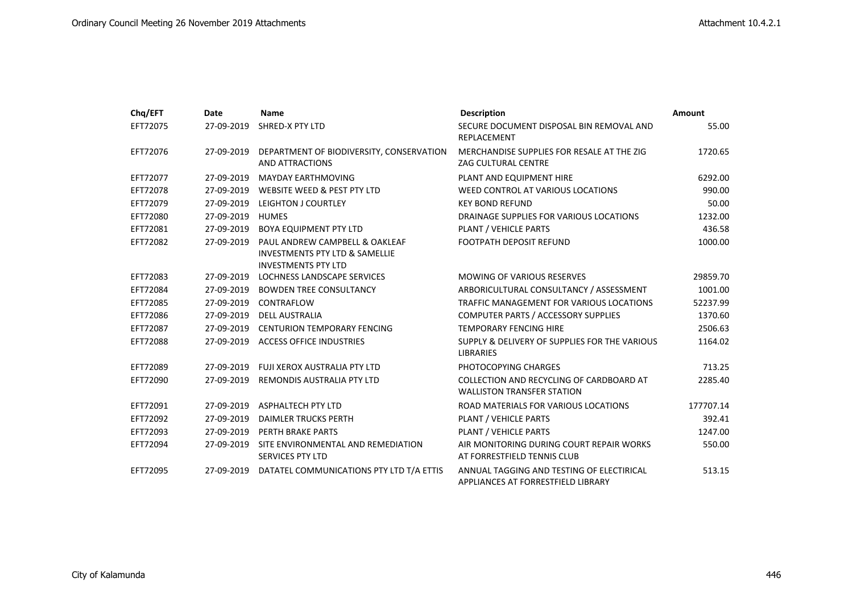| Chq/EFT  | <b>Date</b> | <b>Name</b>                                                   | <b>Description</b>                                                              | <b>Amount</b> |
|----------|-------------|---------------------------------------------------------------|---------------------------------------------------------------------------------|---------------|
| EFT72075 | 27-09-2019  | <b>SHRED-X PTY LTD</b>                                        | SECURE DOCUMENT DISPOSAL BIN REMOVAL AND<br>REPLACEMENT                         | 55.00         |
| EFT72076 | 27-09-2019  | DEPARTMENT OF BIODIVERSITY, CONSERVATION                      | MERCHANDISE SUPPLIES FOR RESALE AT THE ZIG                                      | 1720.65       |
|          |             | AND ATTRACTIONS                                               | ZAG CULTURAL CENTRE                                                             |               |
| EFT72077 | 27-09-2019  | <b>MAYDAY EARTHMOVING</b>                                     | PLANT AND EQUIPMENT HIRE                                                        | 6292.00       |
| EFT72078 | 27-09-2019  | WEBSITE WEED & PEST PTY LTD                                   | WEED CONTROL AT VARIOUS LOCATIONS                                               | 990.00        |
| EFT72079 | 27-09-2019  | <b>LEIGHTON J COURTLEY</b>                                    | <b>KEY BOND REFUND</b>                                                          | 50.00         |
| EFT72080 | 27-09-2019  | <b>HUMES</b>                                                  | DRAINAGE SUPPLIES FOR VARIOUS LOCATIONS                                         | 1232.00       |
| EFT72081 | 27-09-2019  | <b>BOYA EQUIPMENT PTY LTD</b>                                 | PLANT / VEHICLE PARTS                                                           | 436.58        |
| EFT72082 | 27-09-2019  | PAUL ANDREW CAMPBELL & OAKLEAF                                | FOOTPATH DEPOSIT REFUND                                                         | 1000.00       |
|          |             | INVESTMENTS PTY LTD & SAMELLIE                                |                                                                                 |               |
|          |             | <b>INVESTMENTS PTY LTD</b>                                    |                                                                                 |               |
| EFT72083 | 27-09-2019  | LOCHNESS LANDSCAPE SERVICES                                   | <b>MOWING OF VARIOUS RESERVES</b>                                               | 29859.70      |
| EFT72084 | 27-09-2019  | <b>BOWDEN TREE CONSULTANCY</b>                                | ARBORICULTURAL CONSULTANCY / ASSESSMENT                                         | 1001.00       |
| EFT72085 | 27-09-2019  | CONTRAFLOW                                                    | TRAFFIC MANAGEMENT FOR VARIOUS LOCATIONS                                        | 52237.99      |
| EFT72086 | 27-09-2019  | <b>DELL AUSTRALIA</b>                                         | COMPUTER PARTS / ACCESSORY SUPPLIES                                             | 1370.60       |
| EFT72087 | 27-09-2019  | <b>CENTURION TEMPORARY FENCING</b>                            | <b>TEMPORARY FENCING HIRE</b>                                                   | 2506.63       |
| EFT72088 | 27-09-2019  | <b>ACCESS OFFICE INDUSTRIES</b>                               | SUPPLY & DELIVERY OF SUPPLIES FOR THE VARIOUS<br><b>LIBRARIES</b>               | 1164.02       |
| EFT72089 | 27-09-2019  | FUJI XEROX AUSTRALIA PTY LTD                                  | PHOTOCOPYING CHARGES                                                            | 713.25        |
| EFT72090 | 27-09-2019  | REMONDIS AUSTRALIA PTY LTD                                    | COLLECTION AND RECYCLING OF CARDBOARD AT<br><b>WALLISTON TRANSFER STATION</b>   | 2285.40       |
| EFT72091 | 27-09-2019  | <b>ASPHALTECH PTY LTD</b>                                     | ROAD MATERIALS FOR VARIOUS LOCATIONS                                            | 177707.14     |
| EFT72092 | 27-09-2019  | <b>DAIMLER TRUCKS PERTH</b>                                   | PLANT / VEHICLE PARTS                                                           | 392.41        |
| EFT72093 | 27-09-2019  | PERTH BRAKE PARTS                                             | PLANT / VEHICLE PARTS                                                           | 1247.00       |
| EFT72094 | 27-09-2019  | SITE ENVIRONMENTAL AND REMEDIATION<br><b>SERVICES PTY LTD</b> | AIR MONITORING DURING COURT REPAIR WORKS<br>AT FORRESTFIELD TENNIS CLUB         | 550.00        |
| EFT72095 | 27-09-2019  | DATATEL COMMUNICATIONS PTY LTD T/A ETTIS                      | ANNUAL TAGGING AND TESTING OF ELECTIRICAL<br>APPLIANCES AT FORRESTFIELD LIBRARY | 513.15        |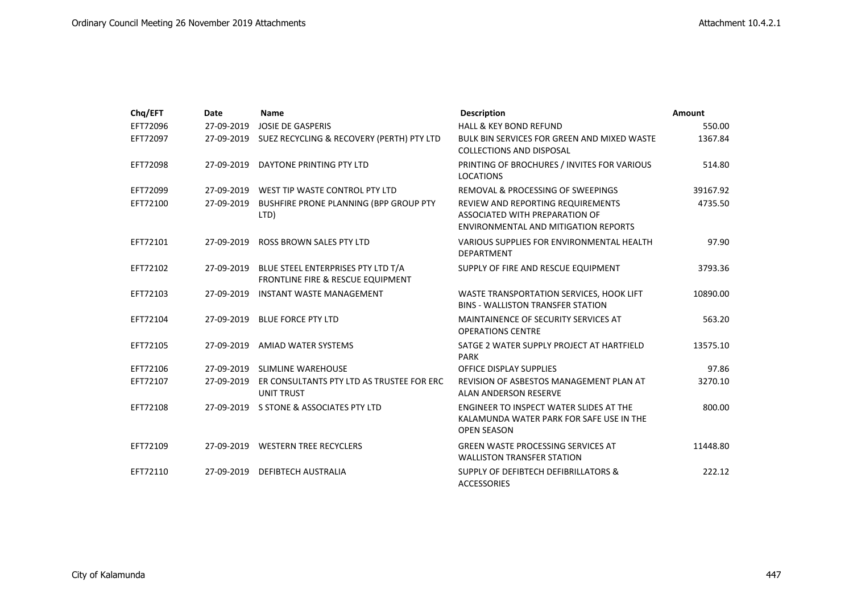| Chq/EFT  | Date       | <b>Name</b>                                                             | <b>Description</b>                                                                                                 | <b>Amount</b> |
|----------|------------|-------------------------------------------------------------------------|--------------------------------------------------------------------------------------------------------------------|---------------|
| EFT72096 | 27-09-2019 | <b>JOSIE DE GASPERIS</b>                                                | HALL & KEY BOND REFUND                                                                                             | 550.00        |
| EFT72097 | 27-09-2019 | SUEZ RECYCLING & RECOVERY (PERTH) PTY LTD                               | BULK BIN SERVICES FOR GREEN AND MIXED WASTE<br><b>COLLECTIONS AND DISPOSAL</b>                                     | 1367.84       |
| EFT72098 |            | 27-09-2019 DAYTONE PRINTING PTY LTD                                     | PRINTING OF BROCHURES / INVITES FOR VARIOUS<br><b>LOCATIONS</b>                                                    | 514.80        |
| EFT72099 | 27-09-2019 | WEST TIP WASTE CONTROL PTY LTD                                          | REMOVAL & PROCESSING OF SWEEPINGS                                                                                  | 39167.92      |
| EFT72100 | 27-09-2019 | BUSHFIRE PRONE PLANNING (BPP GROUP PTY<br>LTD)                          | <b>REVIEW AND REPORTING REQUIREMENTS</b><br>ASSOCIATED WITH PREPARATION OF<br>ENVIRONMENTAL AND MITIGATION REPORTS | 4735.50       |
| EFT72101 | 27-09-2019 | <b>ROSS BROWN SALES PTY LTD</b>                                         | VARIOUS SUPPLIES FOR ENVIRONMENTAL HEALTH<br><b>DEPARTMENT</b>                                                     | 97.90         |
| EFT72102 | 27-09-2019 | BLUE STEEL ENTERPRISES PTY LTD T/A<br>FRONTLINE FIRE & RESCUE EQUIPMENT | SUPPLY OF FIRE AND RESCUE EQUIPMENT                                                                                | 3793.36       |
| EFT72103 | 27-09-2019 | <b>INSTANT WASTE MANAGEMENT</b>                                         | WASTE TRANSPORTATION SERVICES, HOOK LIFT<br><b>BINS - WALLISTON TRANSFER STATION</b>                               | 10890.00      |
| EFT72104 |            | 27-09-2019 BLUE FORCE PTY LTD                                           | MAINTAINENCE OF SECURITY SERVICES AT<br><b>OPERATIONS CENTRE</b>                                                   | 563.20        |
| EFT72105 | 27-09-2019 | AMIAD WATER SYSTEMS                                                     | SATGE 2 WATER SUPPLY PROJECT AT HARTFIELD<br><b>PARK</b>                                                           | 13575.10      |
| EFT72106 | 27-09-2019 | <b>SLIMLINE WAREHOUSE</b>                                               | OFFICE DISPLAY SUPPLIES                                                                                            | 97.86         |
| EFT72107 | 27-09-2019 | ER CONSULTANTS PTY LTD AS TRUSTEE FOR ERC<br><b>UNIT TRUST</b>          | REVISION OF ASBESTOS MANAGEMENT PLAN AT<br><b>ALAN ANDERSON RESERVE</b>                                            | 3270.10       |
| EFT72108 |            | 27-09-2019 S STONE & ASSOCIATES PTY LTD                                 | ENGINEER TO INSPECT WATER SLIDES AT THE<br>KALAMUNDA WATER PARK FOR SAFE USE IN THE<br><b>OPEN SEASON</b>          | 800.00        |
| EFT72109 |            | 27-09-2019 WESTERN TREE RECYCLERS                                       | <b>GREEN WASTE PROCESSING SERVICES AT</b><br><b>WALLISTON TRANSFER STATION</b>                                     | 11448.80      |
| EFT72110 | 27-09-2019 | <b>DEFIBTECH AUSTRALIA</b>                                              | <b>SUPPLY OF DEFIBTECH DEFIBRILLATORS &amp;</b><br><b>ACCESSORIES</b>                                              | 222.12        |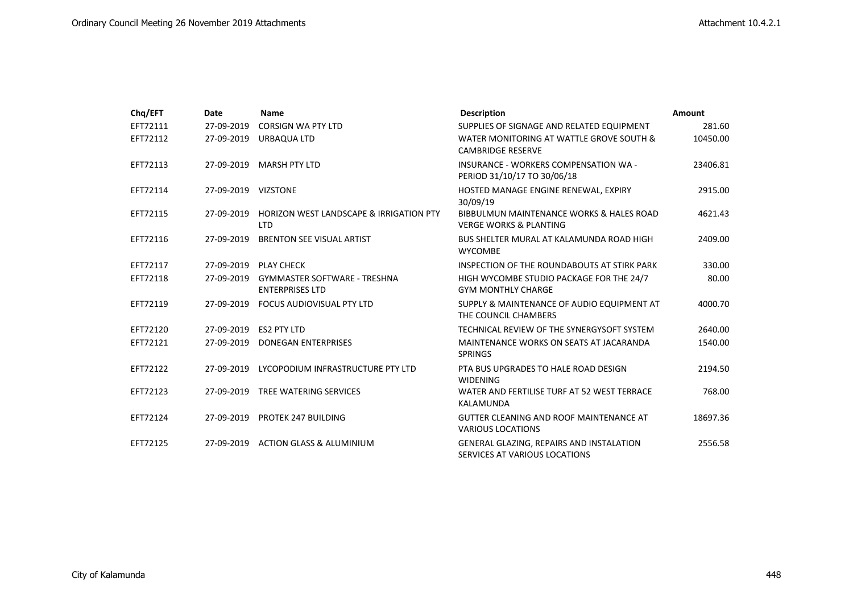| Chq/EFT  | Date                | <b>Name</b>                                                      | <b>Description</b>                                                               | Amount   |
|----------|---------------------|------------------------------------------------------------------|----------------------------------------------------------------------------------|----------|
| EFT72111 | 27-09-2019          | CORSIGN WA PTY LTD                                               | SUPPLIES OF SIGNAGE AND RELATED EQUIPMENT                                        | 281.60   |
| EFT72112 | 27-09-2019          | URBAQUA LTD                                                      | WATER MONITORING AT WATTLE GROVE SOUTH &<br><b>CAMBRIDGE RESERVE</b>             | 10450.00 |
| EFT72113 | 27-09-2019          | <b>MARSH PTY LTD</b>                                             | INSURANCE - WORKERS COMPENSATION WA -<br>PERIOD 31/10/17 TO 30/06/18             | 23406.81 |
| EFT72114 | 27-09-2019 VIZSTONE |                                                                  | HOSTED MANAGE ENGINE RENEWAL, EXPIRY<br>30/09/19                                 | 2915.00  |
| EFT72115 | 27-09-2019          | <b>HORIZON WEST LANDSCAPE &amp; IRRIGATION PTY</b><br><b>LTD</b> | BIBBULMUN MAINTENANCE WORKS & HALES ROAD<br><b>VERGE WORKS &amp; PLANTING</b>    | 4621.43  |
| EFT72116 | 27-09-2019          | <b>BRENTON SEE VISUAL ARTIST</b>                                 | <b>BUS SHELTER MURAL AT KALAMUNDA ROAD HIGH</b><br><b>WYCOMBE</b>                | 2409.00  |
| EFT72117 |                     | 27-09-2019 PLAY CHECK                                            | INSPECTION OF THE ROUNDABOUTS AT STIRK PARK                                      | 330.00   |
| EFT72118 | 27-09-2019          | <b>GYMMASTER SOFTWARE - TRESHNA</b><br><b>ENTERPRISES LTD</b>    | HIGH WYCOMBE STUDIO PACKAGE FOR THE 24/7<br><b>GYM MONTHLY CHARGE</b>            | 80.00    |
| EFT72119 | 27-09-2019          | <b>FOCUS AUDIOVISUAL PTY LTD</b>                                 | SUPPLY & MAINTENANCE OF AUDIO EQUIPMENT AT<br>THE COUNCIL CHAMBERS               | 4000.70  |
| EFT72120 | 27-09-2019          | <b>ES2 PTY LTD</b>                                               | TECHNICAL REVIEW OF THE SYNERGYSOFT SYSTEM                                       | 2640.00  |
| EFT72121 | 27-09-2019          | <b>DONEGAN ENTERPRISES</b>                                       | MAINTENANCE WORKS ON SEATS AT JACARANDA<br><b>SPRINGS</b>                        | 1540.00  |
| EFT72122 | 27-09-2019          | LYCOPODIUM INFRASTRUCTURE PTY LTD                                | PTA BUS UPGRADES TO HALE ROAD DESIGN<br><b>WIDENING</b>                          | 2194.50  |
| EFT72123 | 27-09-2019          | <b>TREE WATERING SERVICES</b>                                    | WATER AND FERTILISE TURF AT 52 WEST TERRACE<br>KALAMUNDA                         | 768.00   |
| EFT72124 | 27-09-2019          | <b>PROTEK 247 BUILDING</b>                                       | GUTTER CLEANING AND ROOF MAINTENANCE AT<br><b>VARIOUS LOCATIONS</b>              | 18697.36 |
| EFT72125 | 27-09-2019          | <b>ACTION GLASS &amp; ALUMINIUM</b>                              | <b>GENERAL GLAZING, REPAIRS AND INSTALATION</b><br>SERVICES AT VARIOUS LOCATIONS | 2556.58  |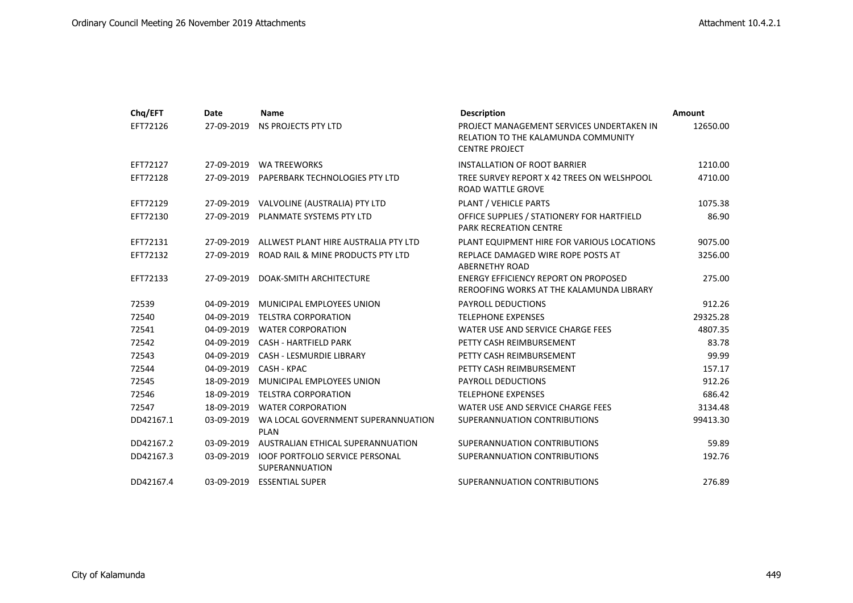| Chq/EFT   | Date       | <b>Name</b>                                              | <b>Description</b>                                                                                        | Amount   |
|-----------|------------|----------------------------------------------------------|-----------------------------------------------------------------------------------------------------------|----------|
| EFT72126  | 27-09-2019 | NS PROJECTS PTY LTD                                      | PROJECT MANAGEMENT SERVICES UNDERTAKEN IN<br>RELATION TO THE KALAMUNDA COMMUNITY<br><b>CENTRE PROJECT</b> | 12650.00 |
| EFT72127  | 27-09-2019 | <b>WA TREEWORKS</b>                                      | <b>INSTALLATION OF ROOT BARRIER</b>                                                                       | 1210.00  |
| EFT72128  | 27-09-2019 | PAPERBARK TECHNOLOGIES PTY LTD                           | TREE SURVEY REPORT X 42 TREES ON WELSHPOOL<br><b>ROAD WATTLE GROVE</b>                                    | 4710.00  |
| EFT72129  | 27-09-2019 | VALVOLINE (AUSTRALIA) PTY LTD                            | PLANT / VEHICLE PARTS                                                                                     | 1075.38  |
| EFT72130  |            | 27-09-2019 PLANMATE SYSTEMS PTY LTD                      | OFFICE SUPPLIES / STATIONERY FOR HARTFIELD<br><b>PARK RECREATION CENTRE</b>                               | 86.90    |
| EFT72131  | 27-09-2019 | ALLWEST PLANT HIRE AUSTRALIA PTY LTD                     | PLANT EQUIPMENT HIRE FOR VARIOUS LOCATIONS                                                                | 9075.00  |
| EFT72132  | 27-09-2019 | ROAD RAIL & MINE PRODUCTS PTY LTD                        | REPLACE DAMAGED WIRE ROPE POSTS AT<br><b>ABERNETHY ROAD</b>                                               | 3256.00  |
| EFT72133  | 27-09-2019 | DOAK-SMITH ARCHITECTURE                                  | ENERGY EFFICIENCY REPORT ON PROPOSED<br>REROOFING WORKS AT THE KALAMUNDA LIBRARY                          | 275.00   |
| 72539     | 04-09-2019 | MUNICIPAL EMPLOYEES UNION                                | <b>PAYROLL DEDUCTIONS</b>                                                                                 | 912.26   |
| 72540     | 04-09-2019 | <b>TELSTRA CORPORATION</b>                               | <b>TELEPHONE EXPENSES</b>                                                                                 | 29325.28 |
| 72541     | 04-09-2019 | <b>WATER CORPORATION</b>                                 | WATER USE AND SERVICE CHARGE FEES                                                                         | 4807.35  |
| 72542     | 04-09-2019 | <b>CASH - HARTFIELD PARK</b>                             | PETTY CASH REIMBURSEMENT                                                                                  | 83.78    |
| 72543     | 04-09-2019 | <b>CASH - LESMURDIE LIBRARY</b>                          | PETTY CASH REIMBURSEMENT                                                                                  | 99.99    |
| 72544     | 04-09-2019 | CASH - KPAC                                              | PETTY CASH REIMBURSEMENT                                                                                  | 157.17   |
| 72545     | 18-09-2019 | MUNICIPAL EMPLOYEES UNION                                | <b>PAYROLL DEDUCTIONS</b>                                                                                 | 912.26   |
| 72546     | 18-09-2019 | <b>TELSTRA CORPORATION</b>                               | <b>TELEPHONE EXPENSES</b>                                                                                 | 686.42   |
| 72547     | 18-09-2019 | <b>WATER CORPORATION</b>                                 | WATER USE AND SERVICE CHARGE FEES                                                                         | 3134.48  |
| DD42167.1 | 03-09-2019 | WA LOCAL GOVERNMENT SUPERANNUATION<br><b>PLAN</b>        | SUPERANNUATION CONTRIBUTIONS                                                                              | 99413.30 |
| DD42167.2 | 03-09-2019 | AUSTRALIAN ETHICAL SUPERANNUATION                        | SUPERANNUATION CONTRIBUTIONS                                                                              | 59.89    |
| DD42167.3 | 03-09-2019 | <b>IOOF PORTFOLIO SERVICE PERSONAL</b><br>SUPERANNUATION | SUPERANNUATION CONTRIBUTIONS                                                                              | 192.76   |
| DD42167.4 | 03-09-2019 | <b>ESSENTIAL SUPER</b>                                   | SUPERANNUATION CONTRIBUTIONS                                                                              | 276.89   |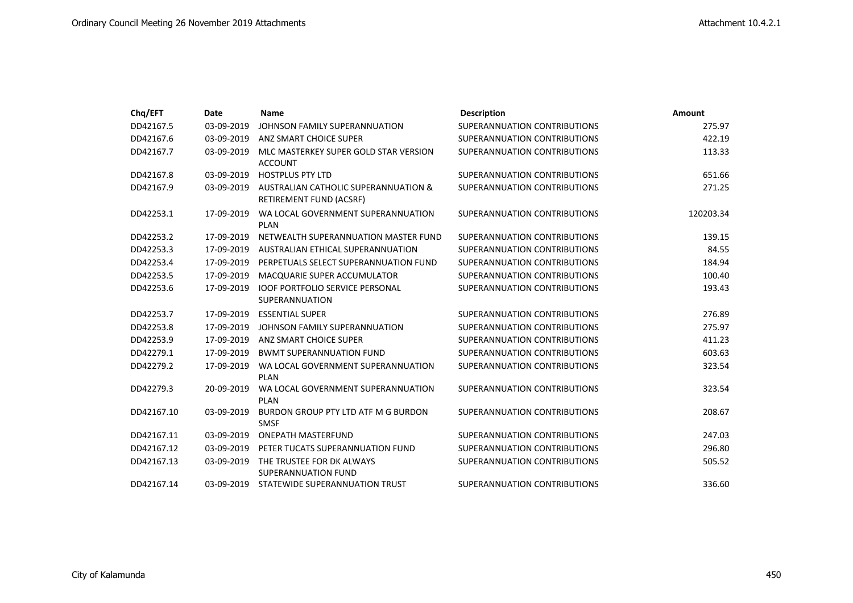| Chq/EFT    | Date       | <b>Name</b>                                                     | <b>Description</b>           | Amount    |
|------------|------------|-----------------------------------------------------------------|------------------------------|-----------|
| DD42167.5  | 03-09-2019 | JOHNSON FAMILY SUPERANNUATION                                   | SUPERANNUATION CONTRIBUTIONS | 275.97    |
| DD42167.6  | 03-09-2019 | ANZ SMART CHOICE SUPER                                          | SUPERANNUATION CONTRIBUTIONS | 422.19    |
| DD42167.7  | 03-09-2019 | MLC MASTERKEY SUPER GOLD STAR VERSION<br><b>ACCOUNT</b>         | SUPERANNUATION CONTRIBUTIONS | 113.33    |
| DD42167.8  | 03-09-2019 | <b>HOSTPLUS PTY LTD</b>                                         | SUPERANNUATION CONTRIBUTIONS | 651.66    |
| DD42167.9  | 03-09-2019 | AUSTRALIAN CATHOLIC SUPERANNUATION &<br>RETIREMENT FUND (ACSRF) | SUPERANNUATION CONTRIBUTIONS | 271.25    |
| DD42253.1  | 17-09-2019 | WA LOCAL GOVERNMENT SUPERANNUATION<br><b>PLAN</b>               | SUPERANNUATION CONTRIBUTIONS | 120203.34 |
| DD42253.2  | 17-09-2019 | NETWEALTH SUPERANNUATION MASTER FUND                            | SUPERANNUATION CONTRIBUTIONS | 139.15    |
| DD42253.3  | 17-09-2019 | AUSTRALIAN ETHICAL SUPERANNUATION                               | SUPERANNUATION CONTRIBUTIONS | 84.55     |
| DD42253.4  | 17-09-2019 | PERPETUALS SELECT SUPERANNUATION FUND                           | SUPERANNUATION CONTRIBUTIONS | 184.94    |
| DD42253.5  | 17-09-2019 | <b>MACQUARIE SUPER ACCUMULATOR</b>                              | SUPERANNUATION CONTRIBUTIONS | 100.40    |
| DD42253.6  | 17-09-2019 | <b>IOOF PORTFOLIO SERVICE PERSONAL</b><br><b>SUPERANNUATION</b> | SUPERANNUATION CONTRIBUTIONS | 193.43    |
| DD42253.7  | 17-09-2019 | <b>ESSENTIAL SUPER</b>                                          | SUPERANNUATION CONTRIBUTIONS | 276.89    |
| DD42253.8  | 17-09-2019 | JOHNSON FAMILY SUPERANNUATION                                   | SUPERANNUATION CONTRIBUTIONS | 275.97    |
| DD42253.9  | 17-09-2019 | ANZ SMART CHOICE SUPER                                          | SUPERANNUATION CONTRIBUTIONS | 411.23    |
| DD42279.1  | 17-09-2019 | <b>BWMT SUPERANNUATION FUND</b>                                 | SUPERANNUATION CONTRIBUTIONS | 603.63    |
| DD42279.2  | 17-09-2019 | WA LOCAL GOVERNMENT SUPERANNUATION<br><b>PLAN</b>               | SUPERANNUATION CONTRIBUTIONS | 323.54    |
| DD42279.3  | 20-09-2019 | WA LOCAL GOVERNMENT SUPERANNUATION<br><b>PLAN</b>               | SUPERANNUATION CONTRIBUTIONS | 323.54    |
| DD42167.10 | 03-09-2019 | BURDON GROUP PTY LTD ATF M G BURDON<br><b>SMSF</b>              | SUPERANNUATION CONTRIBUTIONS | 208.67    |
| DD42167.11 | 03-09-2019 | <b>ONEPATH MASTERFUND</b>                                       | SUPERANNUATION CONTRIBUTIONS | 247.03    |
| DD42167.12 | 03-09-2019 | PETER TUCATS SUPERANNUATION FUND                                | SUPERANNUATION CONTRIBUTIONS | 296.80    |
| DD42167.13 | 03-09-2019 | THE TRUSTEE FOR DK ALWAYS<br><b>SUPERANNUATION FUND</b>         | SUPERANNUATION CONTRIBUTIONS | 505.52    |
| DD42167.14 | 03-09-2019 | STATEWIDE SUPERANNUATION TRUST                                  | SUPERANNUATION CONTRIBUTIONS | 336.60    |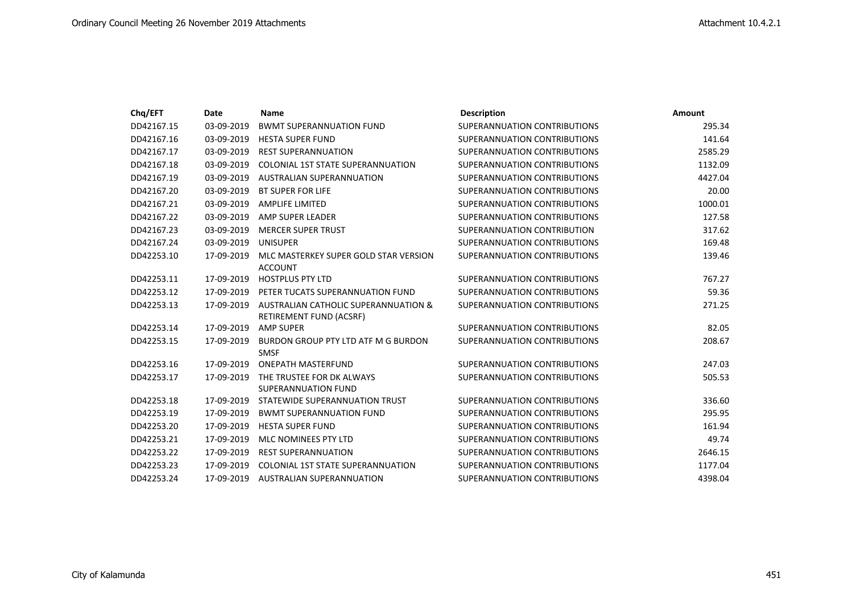| Chq/EFT    | Date       | <b>Name</b>                                                     | <b>Description</b>           | <b>Amount</b> |
|------------|------------|-----------------------------------------------------------------|------------------------------|---------------|
| DD42167.15 | 03-09-2019 | <b>BWMT SUPERANNUATION FUND</b>                                 | SUPERANNUATION CONTRIBUTIONS | 295.34        |
| DD42167.16 | 03-09-2019 | <b>HESTA SUPER FUND</b>                                         | SUPERANNUATION CONTRIBUTIONS | 141.64        |
| DD42167.17 | 03-09-2019 | <b>REST SUPERANNUATION</b>                                      | SUPERANNUATION CONTRIBUTIONS | 2585.29       |
| DD42167.18 | 03-09-2019 | COLONIAL 1ST STATE SUPERANNUATION                               | SUPERANNUATION CONTRIBUTIONS | 1132.09       |
| DD42167.19 | 03-09-2019 | AUSTRALIAN SUPERANNUATION                                       | SUPERANNUATION CONTRIBUTIONS | 4427.04       |
| DD42167.20 | 03-09-2019 | <b>BT SUPER FOR LIFE</b>                                        | SUPERANNUATION CONTRIBUTIONS | 20.00         |
| DD42167.21 | 03-09-2019 | <b>AMPLIFE LIMITED</b>                                          | SUPERANNUATION CONTRIBUTIONS | 1000.01       |
| DD42167.22 | 03-09-2019 | AMP SUPER LEADER                                                | SUPERANNUATION CONTRIBUTIONS | 127.58        |
| DD42167.23 | 03-09-2019 | <b>MERCER SUPER TRUST</b>                                       | SUPERANNUATION CONTRIBUTION  | 317.62        |
| DD42167.24 | 03-09-2019 | <b>UNISUPER</b>                                                 | SUPERANNUATION CONTRIBUTIONS | 169.48        |
| DD42253.10 | 17-09-2019 | MLC MASTERKEY SUPER GOLD STAR VERSION                           | SUPERANNUATION CONTRIBUTIONS | 139.46        |
|            |            | <b>ACCOUNT</b>                                                  |                              |               |
| DD42253.11 | 17-09-2019 | <b>HOSTPLUS PTY LTD</b>                                         | SUPERANNUATION CONTRIBUTIONS | 767.27        |
| DD42253.12 | 17-09-2019 | PETER TUCATS SUPERANNUATION FUND                                | SUPERANNUATION CONTRIBUTIONS | 59.36         |
| DD42253.13 | 17-09-2019 | AUSTRALIAN CATHOLIC SUPERANNUATION &<br>RETIREMENT FUND (ACSRF) | SUPERANNUATION CONTRIBUTIONS | 271.25        |
| DD42253.14 | 17-09-2019 | <b>AMP SUPER</b>                                                | SUPERANNUATION CONTRIBUTIONS | 82.05         |
| DD42253.15 | 17-09-2019 | BURDON GROUP PTY LTD ATF M G BURDON<br><b>SMSF</b>              | SUPERANNUATION CONTRIBUTIONS | 208.67        |
| DD42253.16 | 17-09-2019 | <b>ONEPATH MASTERFUND</b>                                       | SUPERANNUATION CONTRIBUTIONS | 247.03        |
| DD42253.17 | 17-09-2019 | THE TRUSTEE FOR DK ALWAYS                                       | SUPERANNUATION CONTRIBUTIONS | 505.53        |
|            |            | SUPERANNUATION FUND                                             |                              |               |
| DD42253.18 | 17-09-2019 | STATEWIDE SUPERANNUATION TRUST                                  | SUPERANNUATION CONTRIBUTIONS | 336.60        |
| DD42253.19 | 17-09-2019 | <b>BWMT SUPERANNUATION FUND</b>                                 | SUPERANNUATION CONTRIBUTIONS | 295.95        |
| DD42253.20 | 17-09-2019 | <b>HESTA SUPER FUND</b>                                         | SUPERANNUATION CONTRIBUTIONS | 161.94        |
| DD42253.21 | 17-09-2019 | MLC NOMINEES PTY LTD                                            | SUPERANNUATION CONTRIBUTIONS | 49.74         |
| DD42253.22 | 17-09-2019 | <b>REST SUPERANNUATION</b>                                      | SUPERANNUATION CONTRIBUTIONS | 2646.15       |
| DD42253.23 | 17-09-2019 | <b>COLONIAL 1ST STATE SUPERANNUATION</b>                        | SUPERANNUATION CONTRIBUTIONS | 1177.04       |
| DD42253.24 | 17-09-2019 | AUSTRALIAN SUPERANNUATION                                       | SUPERANNUATION CONTRIBUTIONS | 4398.04       |